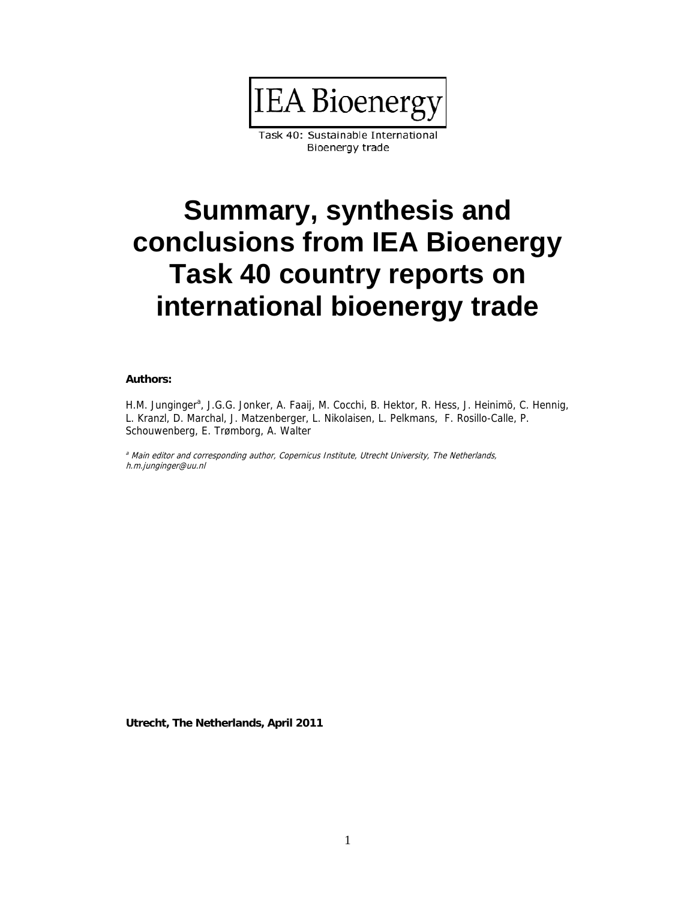

Task 40: Sustainable International Bioenergy trade

# **Summary, synthesis and conclusions from IEA Bioenergy Task 40 country reports on international bioenergy trade**

#### **Authors:**

H.M. Junginger<sup>a</sup>, J.G.G. Jonker, A. Faaij, M. Cocchi, B. Hektor, R. Hess, J. Heinimö, C. Hennig, L. Kranzl, D. Marchal, J. Matzenberger, L. Nikolaisen, L. Pelkmans, F. Rosillo-Calle, P. Schouwenberg, E. Trømborg, A. Walter

<sup>a</sup> Main editor and corresponding author, Copernicus Institute, Utrecht University, The Netherlands, h.m.junginger@uu.nl

**Utrecht, The Netherlands, April 2011**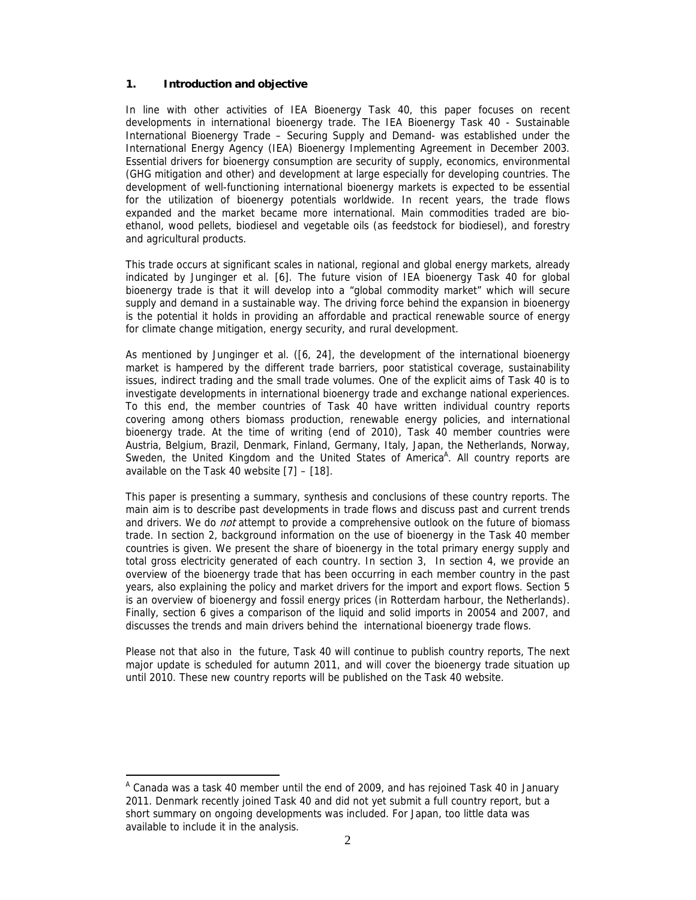## **1. Introduction and objective**

In line with other activities of IEA Bioenergy Task 40, this paper focuses on recent developments in international bioenergy trade. The IEA Bioenergy Task 40 - Sustainable International Bioenergy Trade – Securing Supply and Demand- was established under the International Energy Agency (IEA) Bioenergy Implementing Agreement in December 2003. Essential drivers for bioenergy consumption are security of supply, economics, environmental (GHG mitigation and other) and development at large especially for developing countries. The development of well-functioning international bioenergy markets is expected to be essential for the utilization of bioenergy potentials worldwide. In recent years, the trade flows expanded and the market became more international. Main commodities traded are bioethanol, wood pellets, biodiesel and vegetable oils (as feedstock for biodiesel), and forestry and agricultural products.

This trade occurs at significant scales in national, regional and global energy markets, already indicated by Junginger et al. [6]. The future vision of IEA bioenergy Task 40 for global bioenergy trade is that it will develop into a "global commodity market" which will secure supply and demand in a sustainable way. The driving force behind the expansion in bioenergy is the potential it holds in providing an affordable and practical renewable source of energy for climate change mitigation, energy security, and rural development.

As mentioned by Junginger et al. ([6, 24], the development of the international bioenergy market is hampered by the different trade barriers, poor statistical coverage, sustainability issues, indirect trading and the small trade volumes. One of the explicit aims of Task 40 is to investigate developments in international bioenergy trade and exchange national experiences. To this end, the member countries of Task 40 have written individual country reports covering among others biomass production, renewable energy policies, and international bioenergy trade. At the time of writing (end of 2010), Task 40 member countries were Austria, Belgium, Brazil, Denmark, Finland, Germany, Italy, Japan, the Netherlands, Norway, Sweden, the United Kingdom and the United States of America<sup>A</sup>. All country reports are available on the Task 40 website [7] – [18].

This paper is presenting a summary, synthesis and conclusions of these country reports. The main aim is to describe past developments in trade flows and discuss past and current trends and drivers. We do *not* attempt to provide a comprehensive outlook on the future of biomass trade. In section 2, background information on the use of bioenergy in the Task 40 member countries is given. We present the share of bioenergy in the total primary energy supply and total gross electricity generated of each country. In section 3, In section 4, we provide an overview of the bioenergy trade that has been occurring in each member country in the past years, also explaining the policy and market drivers for the import and export flows. Section 5 is an overview of bioenergy and fossil energy prices (in Rotterdam harbour, the Netherlands). Finally, section 6 gives a comparison of the liquid and solid imports in 20054 and 2007, and discusses the trends and main drivers behind the international bioenergy trade flows.

Please not that also in the future, Task 40 will continue to publish country reports, The next major update is scheduled for autumn 2011, and will cover the bioenergy trade situation up until 2010. These new country reports will be published on the Task 40 website.

 $\overline{a}$ 

<sup>&</sup>lt;sup>A</sup> Canada was a task 40 member until the end of 2009, and has rejoined Task 40 in January 2011. Denmark recently joined Task 40 and did not yet submit a full country report, but a short summary on ongoing developments was included. For Japan, too little data was available to include it in the analysis.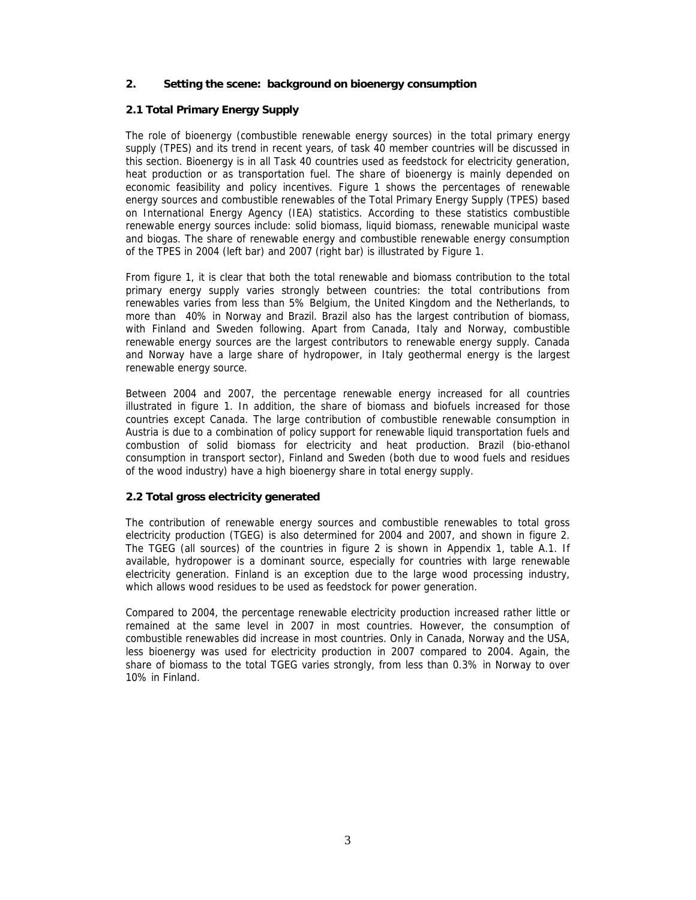## **2. Setting the scene: background on bioenergy consumption**

## **2.1 Total Primary Energy Supply**

The role of bioenergy (combustible renewable energy sources) in the total primary energy supply (TPES) and its trend in recent years, of task 40 member countries will be discussed in this section. Bioenergy is in all Task 40 countries used as feedstock for electricity generation, heat production or as transportation fuel. The share of bioenergy is mainly depended on economic feasibility and policy incentives. Figure 1 shows the percentages of renewable energy sources and combustible renewables of the Total Primary Energy Supply (TPES) based on International Energy Agency (IEA) statistics. According to these statistics combustible renewable energy sources include: solid biomass, liquid biomass, renewable municipal waste and biogas. The share of renewable energy and combustible renewable energy consumption of the TPES in 2004 (left bar) and 2007 (right bar) is illustrated by Figure 1.

From figure 1, it is clear that both the total renewable and biomass contribution to the total primary energy supply varies strongly between countries: the total contributions from renewables varies from less than 5% Belgium, the United Kingdom and the Netherlands, to more than 40% in Norway and Brazil. Brazil also has the largest contribution of biomass, with Finland and Sweden following. Apart from Canada, Italy and Norway, combustible renewable energy sources are the largest contributors to renewable energy supply. Canada and Norway have a large share of hydropower, in Italy geothermal energy is the largest renewable energy source.

Between 2004 and 2007, the percentage renewable energy increased for all countries illustrated in figure 1. In addition, the share of biomass and biofuels increased for those countries except Canada. The large contribution of combustible renewable consumption in Austria is due to a combination of policy support for renewable liquid transportation fuels and combustion of solid biomass for electricity and heat production. Brazil (bio-ethanol consumption in transport sector), Finland and Sweden (both due to wood fuels and residues of the wood industry) have a high bioenergy share in total energy supply.

## **2.2 Total gross electricity generated**

The contribution of renewable energy sources and combustible renewables to total gross electricity production (TGEG) is also determined for 2004 and 2007, and shown in figure 2. The TGEG (all sources) of the countries in figure 2 is shown in Appendix 1, table A.1. If available, hydropower is a dominant source, especially for countries with large renewable electricity generation. Finland is an exception due to the large wood processing industry, which allows wood residues to be used as feedstock for power generation.

Compared to 2004, the percentage renewable electricity production increased rather little or remained at the same level in 2007 in most countries. However, the consumption of combustible renewables did increase in most countries. Only in Canada, Norway and the USA, less bioenergy was used for electricity production in 2007 compared to 2004. Again, the share of biomass to the total TGEG varies strongly, from less than 0.3% in Norway to over 10% in Finland.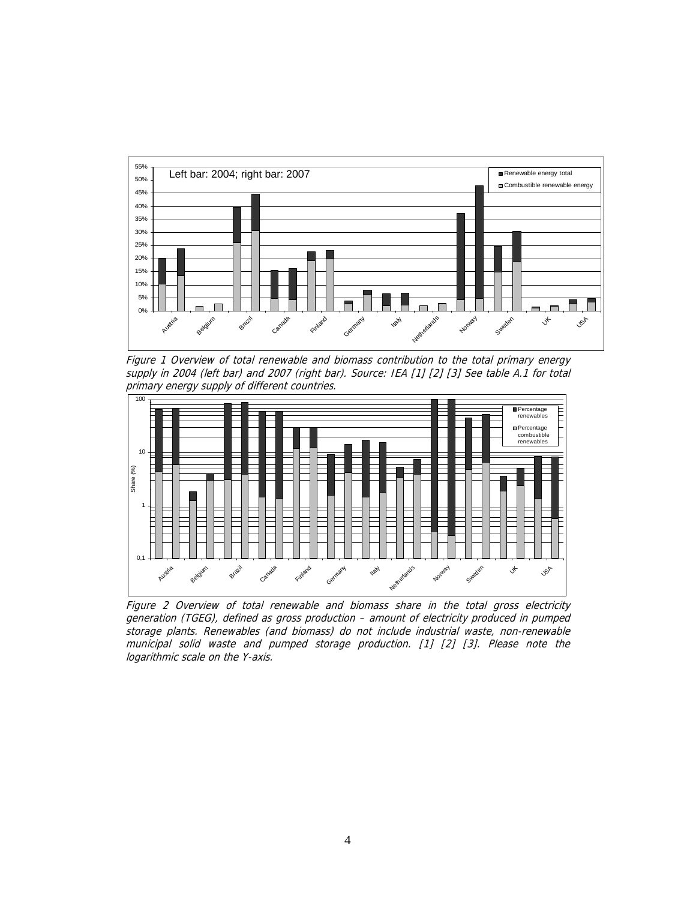

Figure 1 Overview of total renewable and biomass contribution to the total primary energy supply in 2004 (left bar) and 2007 (right bar). Source: IEA [1] [2] [3] See table A.1 for total primary energy supply of different countries.



Figure 2 Overview of total renewable and biomass share in the total gross electricity generation (TGEG), defined as gross production – amount of electricity produced in pumped storage plants. Renewables (and biomass) do not include industrial waste, non-renewable municipal solid waste and pumped storage production. [1] [2] [3]. Please note the logarithmic scale on the Y-axis.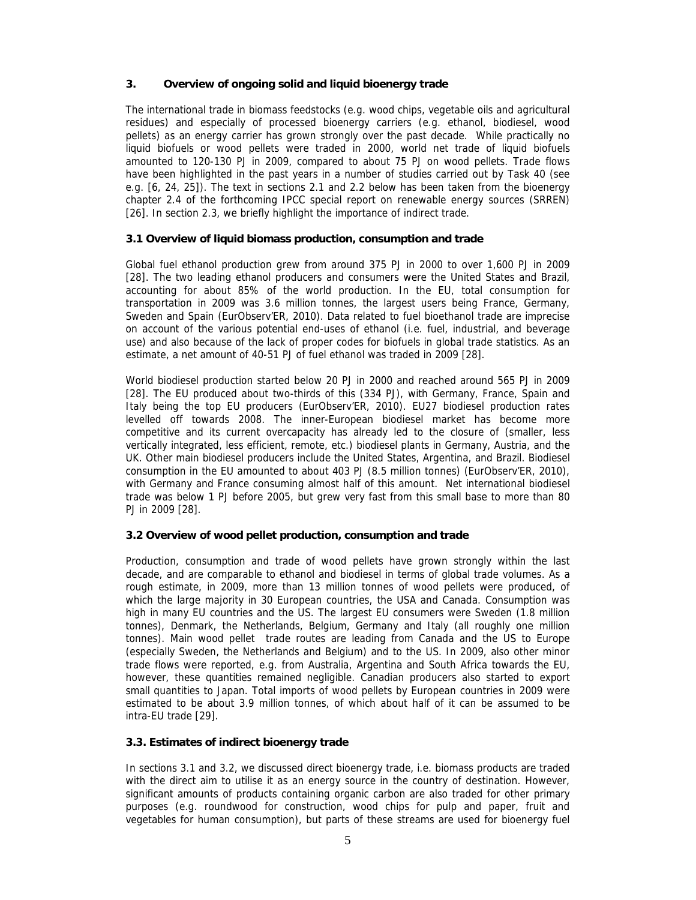## **3. Overview of ongoing solid and liquid bioenergy trade**

The international trade in biomass feedstocks (e.g. wood chips, vegetable oils and agricultural residues) and especially of processed bioenergy carriers (e.g. ethanol, biodiesel, wood pellets) as an energy carrier has grown strongly over the past decade. While practically no liquid biofuels or wood pellets were traded in 2000, world net trade of liquid biofuels amounted to 120-130 PJ in 2009, compared to about 75 PJ on wood pellets. Trade flows have been highlighted in the past years in a number of studies carried out by Task 40 (see e.g. [6, 24, 25]). The text in sections 2.1 and 2.2 below has been taken from the bioenergy chapter 2.4 of the forthcoming IPCC special report on renewable energy sources (SRREN) [26]. In section 2.3, we briefly highlight the importance of indirect trade.

## **3.1 Overview of liquid biomass production, consumption and trade**

Global fuel ethanol production grew from around 375 PJ in 2000 to over 1,600 PJ in 2009 [28]. The two leading ethanol producers and consumers were the United States and Brazil, accounting for about 85% of the world production. In the EU, total consumption for transportation in 2009 was 3.6 million tonnes, the largest users being France, Germany, Sweden and Spain (EurObserv'ER, 2010). Data related to fuel bioethanol trade are imprecise on account of the various potential end-uses of ethanol (i.e. fuel, industrial, and beverage use) and also because of the lack of proper codes for biofuels in global trade statistics. As an estimate, a net amount of 40-51 PJ of fuel ethanol was traded in 2009 [28].

World biodiesel production started below 20 PJ in 2000 and reached around 565 PJ in 2009 [28]. The EU produced about two-thirds of this (334 PJ), with Germany, France, Spain and Italy being the top EU producers (EurObserv'ER, 2010). EU27 biodiesel production rates levelled off towards 2008. The inner-European biodiesel market has become more competitive and its current overcapacity has already led to the closure of (smaller, less vertically integrated, less efficient, remote, etc.) biodiesel plants in Germany, Austria, and the UK. Other main biodiesel producers include the United States, Argentina, and Brazil. Biodiesel consumption in the EU amounted to about 403 PJ (8.5 million tonnes) (EurObserv'ER, 2010), with Germany and France consuming almost half of this amount. Net international biodiesel trade was below 1 PJ before 2005, but grew very fast from this small base to more than 80 PJ in 2009 [28].

## **3.2 Overview of wood pellet production, consumption and trade**

Production, consumption and trade of wood pellets have grown strongly within the last decade, and are comparable to ethanol and biodiesel in terms of global trade volumes. As a rough estimate, in 2009, more than 13 million tonnes of wood pellets were produced, of which the large majority in 30 European countries, the USA and Canada. Consumption was high in many EU countries and the US. The largest EU consumers were Sweden (1.8 million tonnes), Denmark, the Netherlands, Belgium, Germany and Italy (all roughly one million tonnes). Main wood pellet trade routes are leading from Canada and the US to Europe (especially Sweden, the Netherlands and Belgium) and to the US. In 2009, also other minor trade flows were reported, e.g. from Australia, Argentina and South Africa towards the EU, however, these quantities remained negligible. Canadian producers also started to export small quantities to Japan. Total imports of wood pellets by European countries in 2009 were estimated to be about 3.9 million tonnes, of which about half of it can be assumed to be intra-EU trade [29].

## **3.3. Estimates of indirect bioenergy trade**

In sections 3.1 and 3.2, we discussed direct bioenergy trade, i.e. biomass products are traded with the direct aim to utilise it as an energy source in the country of destination. However, significant amounts of products containing organic carbon are also traded for other primary purposes (e.g. roundwood for construction, wood chips for pulp and paper, fruit and vegetables for human consumption), but parts of these streams are used for bioenergy fuel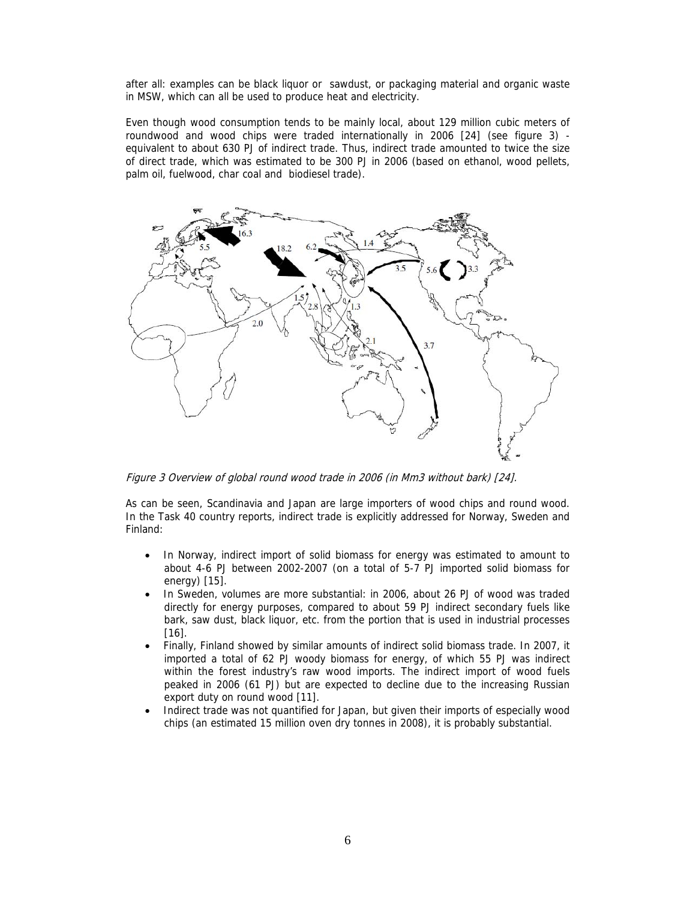after all: examples can be black liquor or sawdust, or packaging material and organic waste in MSW, which can all be used to produce heat and electricity.

Even though wood consumption tends to be mainly local, about 129 million cubic meters of roundwood and wood chips were traded internationally in 2006 [24] (see figure 3) equivalent to about 630 PJ of indirect trade. Thus, indirect trade amounted to twice the size of direct trade, which was estimated to be 300 PJ in 2006 (based on ethanol, wood pellets, palm oil, fuelwood, char coal and biodiesel trade).



Figure 3 Overview of global round wood trade in 2006 (in Mm3 without bark) [24].

As can be seen, Scandinavia and Japan are large importers of wood chips and round wood. In the Task 40 country reports, indirect trade is explicitly addressed for Norway, Sweden and Finland:

- In Norway, indirect import of solid biomass for energy was estimated to amount to about 4-6 PJ between 2002-2007 (on a total of 5-7 PJ imported solid biomass for energy) [15].
- In Sweden, volumes are more substantial: in 2006, about 26 PJ of wood was traded directly for energy purposes, compared to about 59 PJ indirect secondary fuels like bark, saw dust, black liquor, etc. from the portion that is used in industrial processes [16].
- Finally, Finland showed by similar amounts of indirect solid biomass trade. In 2007, it imported a total of 62 PJ woody biomass for energy, of which 55 PJ was indirect within the forest industry's raw wood imports. The indirect import of wood fuels peaked in 2006 (61 PJ) but are expected to decline due to the increasing Russian export duty on round wood [11].
- Indirect trade was not quantified for Japan, but given their imports of especially wood chips (an estimated 15 million oven dry tonnes in 2008), it is probably substantial.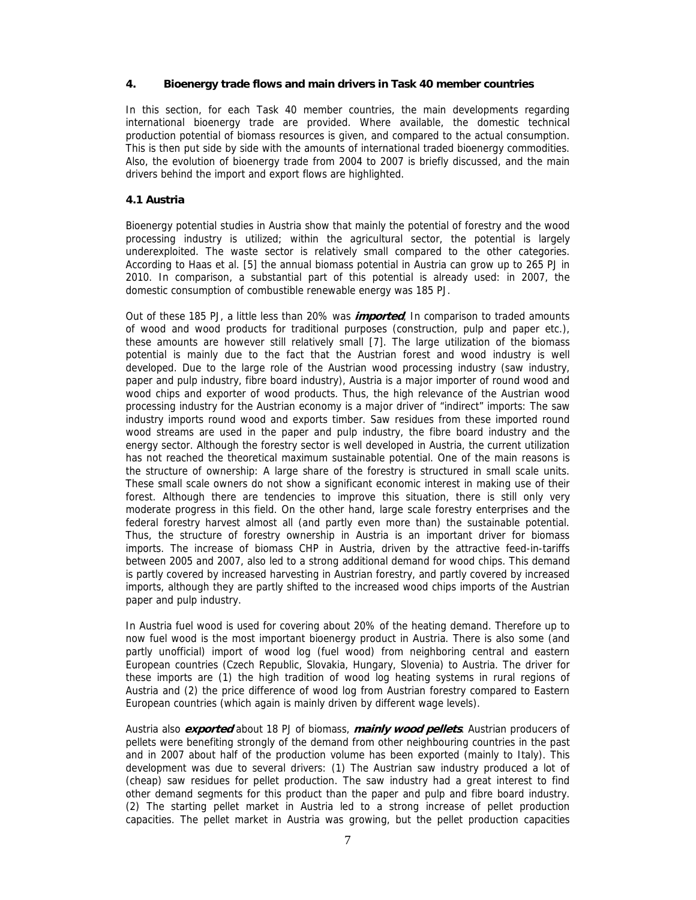#### **4. Bioenergy trade flows and main drivers in Task 40 member countries**

In this section, for each Task 40 member countries, the main developments regarding international bioenergy trade are provided. Where available, the domestic technical production potential of biomass resources is given, and compared to the actual consumption. This is then put side by side with the amounts of international traded bioenergy commodities. Also, the evolution of bioenergy trade from 2004 to 2007 is briefly discussed, and the main drivers behind the import and export flows are highlighted.

## **4.1 Austria**

Bioenergy potential studies in Austria show that mainly the potential of forestry and the wood processing industry is utilized; within the agricultural sector, the potential is largely underexploited. The waste sector is relatively small compared to the other categories. According to Haas et al. [5] the annual biomass potential in Austria can grow up to 265 PJ in 2010. In comparison, a substantial part of this potential is already used: in 2007, the domestic consumption of combustible renewable energy was 185 PJ.

Out of these 185 PJ, a little less than 20% was **imported**, In comparison to traded amounts of wood and wood products for traditional purposes (construction, pulp and paper etc.), these amounts are however still relatively small [7]. The large utilization of the biomass potential is mainly due to the fact that the Austrian forest and wood industry is well developed. Due to the large role of the Austrian wood processing industry (saw industry, paper and pulp industry, fibre board industry), Austria is a major importer of round wood and wood chips and exporter of wood products. Thus, the high relevance of the Austrian wood processing industry for the Austrian economy is a major driver of "indirect" imports: The saw industry imports round wood and exports timber. Saw residues from these imported round wood streams are used in the paper and pulp industry, the fibre board industry and the energy sector. Although the forestry sector is well developed in Austria, the current utilization has not reached the theoretical maximum sustainable potential. One of the main reasons is the structure of ownership: A large share of the forestry is structured in small scale units. These small scale owners do not show a significant economic interest in making use of their forest. Although there are tendencies to improve this situation, there is still only very moderate progress in this field. On the other hand, large scale forestry enterprises and the federal forestry harvest almost all (and partly even more than) the sustainable potential. Thus, the structure of forestry ownership in Austria is an important driver for biomass imports. The increase of biomass CHP in Austria, driven by the attractive feed-in-tariffs between 2005 and 2007, also led to a strong additional demand for wood chips. This demand is partly covered by increased harvesting in Austrian forestry, and partly covered by increased imports, although they are partly shifted to the increased wood chips imports of the Austrian paper and pulp industry.

In Austria fuel wood is used for covering about 20% of the heating demand. Therefore up to now fuel wood is the most important bioenergy product in Austria. There is also some (and partly unofficial) import of wood log (fuel wood) from neighboring central and eastern European countries (Czech Republic, Slovakia, Hungary, Slovenia) to Austria. The driver for these imports are (1) the high tradition of wood log heating systems in rural regions of Austria and (2) the price difference of wood log from Austrian forestry compared to Eastern European countries (which again is mainly driven by different wage levels).

Austria also **exported** about 18 PJ of biomass, **mainly wood pellets**. Austrian producers of pellets were benefiting strongly of the demand from other neighbouring countries in the past and in 2007 about half of the production volume has been exported (mainly to Italy). This development was due to several drivers: (1) The Austrian saw industry produced a lot of (cheap) saw residues for pellet production. The saw industry had a great interest to find other demand segments for this product than the paper and pulp and fibre board industry. (2) The starting pellet market in Austria led to a strong increase of pellet production capacities. The pellet market in Austria was growing, but the pellet production capacities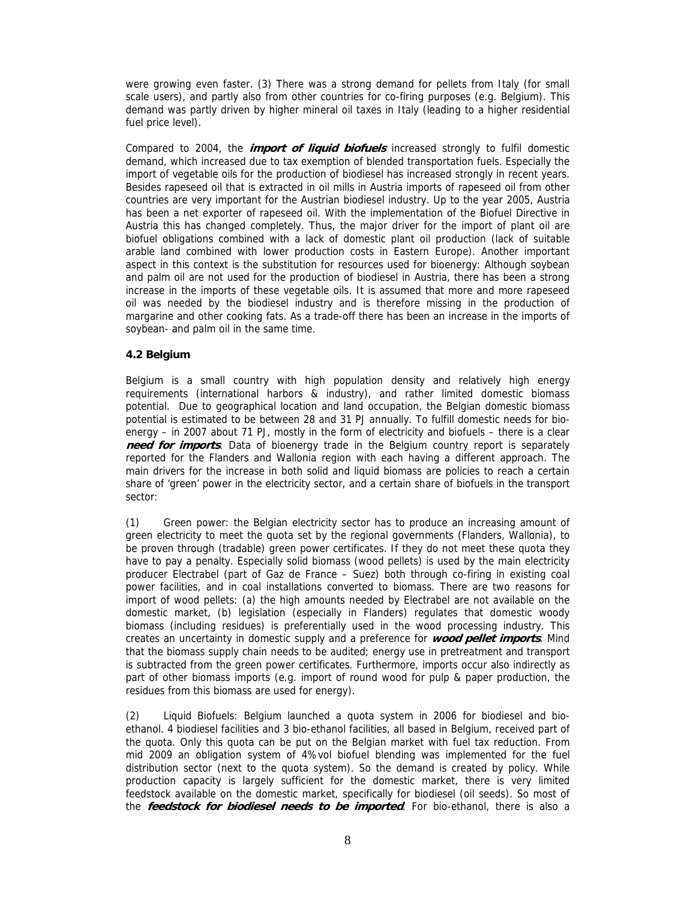were growing even faster. (3) There was a strong demand for pellets from Italy (for small scale users), and partly also from other countries for co-firing purposes (e.g. Belgium). This demand was partly driven by higher mineral oil taxes in Italy (leading to a higher residential fuel price level).

Compared to 2004, the **import of liquid biofuels** increased strongly to fulfil domestic demand, which increased due to tax exemption of blended transportation fuels. Especially the import of vegetable oils for the production of biodiesel has increased strongly in recent years. Besides rapeseed oil that is extracted in oil mills in Austria imports of rapeseed oil from other countries are very important for the Austrian biodiesel industry. Up to the year 2005, Austria has been a net exporter of rapeseed oil. With the implementation of the Biofuel Directive in Austria this has changed completely. Thus, the major driver for the import of plant oil are biofuel obligations combined with a lack of domestic plant oil production (lack of suitable arable land combined with lower production costs in Eastern Europe). Another important aspect in this context is the substitution for resources used for bioenergy: Although soybean and palm oil are not used for the production of biodiesel in Austria, there has been a strong increase in the imports of these vegetable oils. It is assumed that more and more rapeseed oil was needed by the biodiesel industry and is therefore missing in the production of margarine and other cooking fats. As a trade-off there has been an increase in the imports of soybean- and palm oil in the same time.

## **4.2 Belgium**

Belgium is a small country with high population density and relatively high energy requirements (international harbors & industry), and rather limited domestic biomass potential. Due to geographical location and land occupation, the Belgian domestic biomass potential is estimated to be between 28 and 31 PJ annually. To fulfill domestic needs for bioenergy – in 2007 about 71 PJ, mostly in the form of electricity and biofuels – there is a clear **need for imports**. Data of bioenergy trade in the Belgium country report is separately reported for the Flanders and Wallonia region with each having a different approach. The main drivers for the increase in both solid and liquid biomass are policies to reach a certain share of 'green' power in the electricity sector, and a certain share of biofuels in the transport sector:

(1) Green power: the Belgian electricity sector has to produce an increasing amount of green electricity to meet the quota set by the regional governments (Flanders, Wallonia), to be proven through (tradable) green power certificates. If they do not meet these quota they have to pay a penalty. Especially solid biomass (wood pellets) is used by the main electricity producer Electrabel (part of Gaz de France – Suez) both through co-firing in existing coal power facilities, and in coal installations converted to biomass. There are two reasons for import of wood pellets: (a) the high amounts needed by Electrabel are not available on the domestic market, (b) legislation (especially in Flanders) regulates that domestic woody biomass (including residues) is preferentially used in the wood processing industry. This creates an uncertainty in domestic supply and a preference for **wood pellet imports**. Mind that the biomass supply chain needs to be audited; energy use in pretreatment and transport is subtracted from the green power certificates. Furthermore, imports occur also indirectly as part of other biomass imports (e.g. import of round wood for pulp & paper production, the residues from this biomass are used for energy).

(2) Liquid Biofuels: Belgium launched a quota system in 2006 for biodiesel and bioethanol. 4 biodiesel facilities and 3 bio-ethanol facilities, all based in Belgium, received part of the quota. Only this quota can be put on the Belgian market with fuel tax reduction. From mid 2009 an obligation system of 4%vol biofuel blending was implemented for the fuel distribution sector (next to the quota system). So the demand is created by policy. While production capacity is largely sufficient for the domestic market, there is very limited feedstock available on the domestic market, specifically for biodiesel (oil seeds). So most of the **feedstock for biodiesel needs to be imported**. For bio-ethanol, there is also a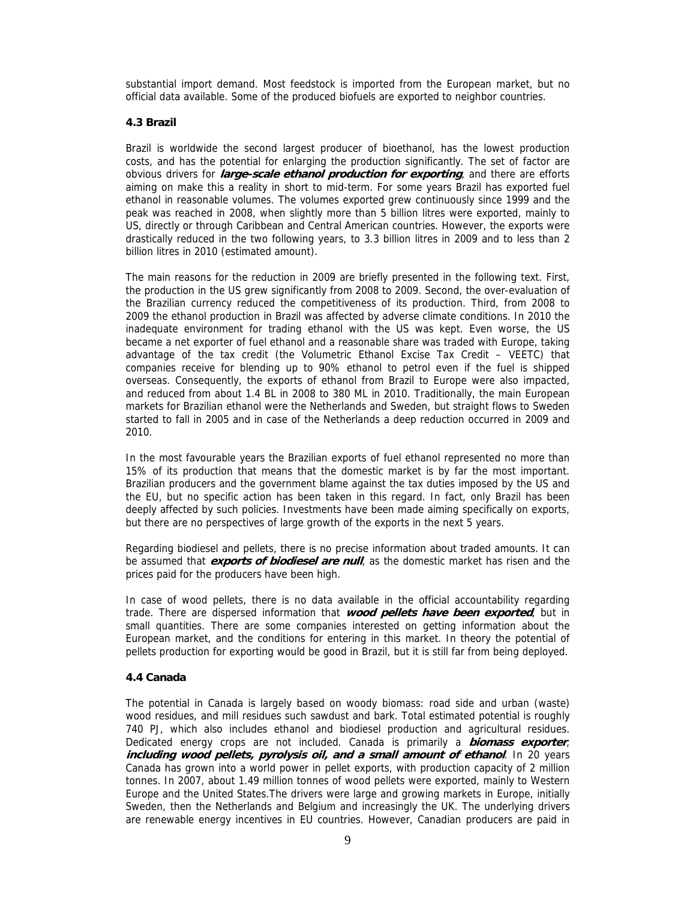substantial import demand. Most feedstock is imported from the European market, but no official data available. Some of the produced biofuels are exported to neighbor countries.

## **4.3 Brazil**

Brazil is worldwide the second largest producer of bioethanol, has the lowest production costs, and has the potential for enlarging the production significantly. The set of factor are obvious drivers for **large-scale ethanol production for exporting**, and there are efforts aiming on make this a reality in short to mid-term. For some years Brazil has exported fuel ethanol in reasonable volumes. The volumes exported grew continuously since 1999 and the peak was reached in 2008, when slightly more than 5 billion litres were exported, mainly to US, directly or through Caribbean and Central American countries. However, the exports were drastically reduced in the two following years, to 3.3 billion litres in 2009 and to less than 2 billion litres in 2010 (estimated amount).

The main reasons for the reduction in 2009 are briefly presented in the following text. First, the production in the US grew significantly from 2008 to 2009. Second, the over-evaluation of the Brazilian currency reduced the competitiveness of its production. Third, from 2008 to 2009 the ethanol production in Brazil was affected by adverse climate conditions. In 2010 the inadequate environment for trading ethanol with the US was kept. Even worse, the US became a net exporter of fuel ethanol and a reasonable share was traded with Europe, taking advantage of the tax credit (the Volumetric Ethanol Excise Tax Credit – VEETC) that companies receive for blending up to 90% ethanol to petrol even if the fuel is shipped overseas. Consequently, the exports of ethanol from Brazil to Europe were also impacted, and reduced from about 1.4 BL in 2008 to 380 ML in 2010. Traditionally, the main European markets for Brazilian ethanol were the Netherlands and Sweden, but straight flows to Sweden started to fall in 2005 and in case of the Netherlands a deep reduction occurred in 2009 and 2010.

In the most favourable years the Brazilian exports of fuel ethanol represented no more than 15% of its production that means that the domestic market is by far the most important. Brazilian producers and the government blame against the tax duties imposed by the US and the EU, but no specific action has been taken in this regard. In fact, only Brazil has been deeply affected by such policies. Investments have been made aiming specifically on exports, but there are no perspectives of large growth of the exports in the next 5 years.

Regarding biodiesel and pellets, there is no precise information about traded amounts. It can be assumed that **exports of biodiesel are null**, as the domestic market has risen and the prices paid for the producers have been high.

In case of wood pellets, there is no data available in the official accountability regarding trade. There are dispersed information that **wood pellets have been exported**, but in small quantities. There are some companies interested on getting information about the European market, and the conditions for entering in this market. In theory the potential of pellets production for exporting would be good in Brazil, but it is still far from being deployed.

#### **4.4 Canada**

The potential in Canada is largely based on woody biomass: road side and urban (waste) wood residues, and mill residues such sawdust and bark. Total estimated potential is roughly 740 PJ, which also includes ethanol and biodiesel production and agricultural residues. Dedicated energy crops are not included. Canada is primarily a **biomass exporter**, **including wood pellets, pyrolysis oil, and a small amount of ethanol**. In 20 years Canada has grown into a world power in pellet exports, with production capacity of 2 million tonnes. In 2007, about 1.49 million tonnes of wood pellets were exported, mainly to Western Europe and the United States.The drivers were large and growing markets in Europe, initially Sweden, then the Netherlands and Belgium and increasingly the UK. The underlying drivers are renewable energy incentives in EU countries. However, Canadian producers are paid in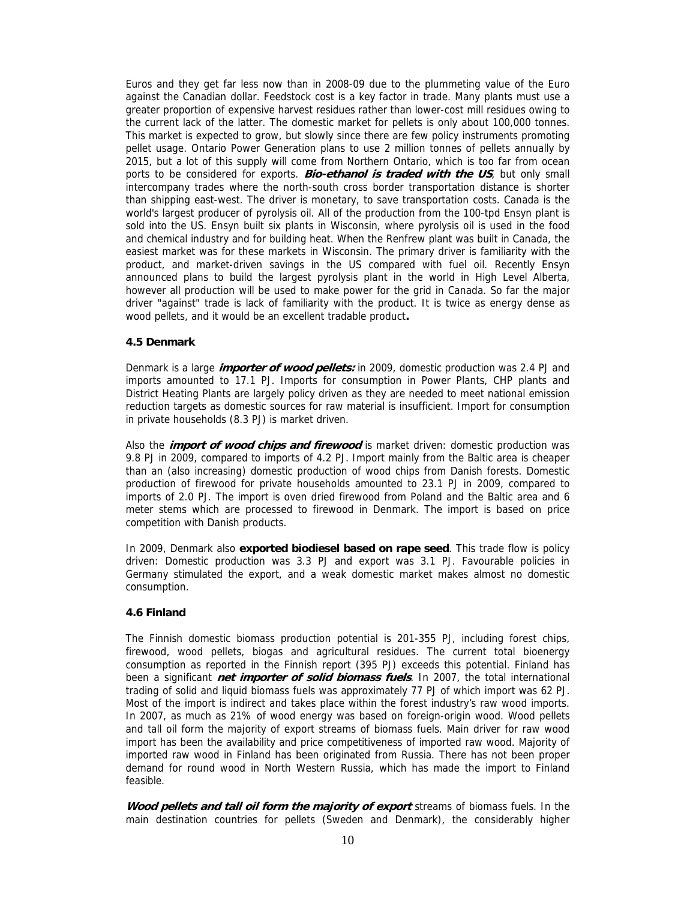Euros and they get far less now than in 2008-09 due to the plummeting value of the Euro against the Canadian dollar. Feedstock cost is a key factor in trade. Many plants must use a greater proportion of expensive harvest residues rather than lower-cost mill residues owing to the current lack of the latter. The domestic market for pellets is only about 100,000 tonnes. This market is expected to grow, but slowly since there are few policy instruments promoting pellet usage. Ontario Power Generation plans to use 2 million tonnes of pellets annually by 2015, but a lot of this supply will come from Northern Ontario, which is too far from ocean ports to be considered for exports. **Bio-ethanol is traded with the US**, but only small intercompany trades where the north-south cross border transportation distance is shorter than shipping east-west. The driver is monetary, to save transportation costs. Canada is the world's largest producer of pyrolysis oil. All of the production from the 100-tpd Ensyn plant is sold into the US. Ensyn built six plants in Wisconsin, where pyrolysis oil is used in the food and chemical industry and for building heat. When the Renfrew plant was built in Canada, the easiest market was for these markets in Wisconsin. The primary driver is familiarity with the product, and market-driven savings in the US compared with fuel oil. Recently Ensyn announced plans to build the largest pyrolysis plant in the world in High Level Alberta, however all production will be used to make power for the grid in Canada. So far the major driver "against" trade is lack of familiarity with the product. It is twice as energy dense as wood pellets, and it would be an excellent tradable product**.** 

#### **4.5 Denmark**

Denmark is a large **importer of wood pellets:** in 2009, domestic production was 2.4 PJ and imports amounted to 17.1 PJ. Imports for consumption in Power Plants, CHP plants and District Heating Plants are largely policy driven as they are needed to meet national emission reduction targets as domestic sources for raw material is insufficient. Import for consumption in private households (8.3 PJ) is market driven.

Also the **import of wood chips and firewood** is market driven: domestic production was 9.8 PJ in 2009, compared to imports of 4.2 PJ. Import mainly from the Baltic area is cheaper than an (also increasing) domestic production of wood chips from Danish forests. Domestic production of firewood for private households amounted to 23.1 PJ in 2009, compared to imports of 2.0 PJ. The import is oven dried firewood from Poland and the Baltic area and 6 meter stems which are processed to firewood in Denmark. The import is based on price competition with Danish products.

In 2009, Denmark also **exported biodiesel based on rape seed**. This trade flow is policy driven: Domestic production was 3.3 PJ and export was 3.1 PJ. Favourable policies in Germany stimulated the export, and a weak domestic market makes almost no domestic consumption.

#### **4.6 Finland**

The Finnish domestic biomass production potential is 201-355 PJ, including forest chips, firewood, wood pellets, biogas and agricultural residues. The current total bioenergy consumption as reported in the Finnish report (395 PJ) exceeds this potential. Finland has been a significant **net importer of solid biomass fuels**. In 2007, the total international trading of solid and liquid biomass fuels was approximately 77 PJ of which import was 62 PJ. Most of the import is indirect and takes place within the forest industry's raw wood imports. In 2007, as much as 21% of wood energy was based on foreign-origin wood. Wood pellets and tall oil form the majority of export streams of biomass fuels. Main driver for raw wood import has been the availability and price competitiveness of imported raw wood. Majority of imported raw wood in Finland has been originated from Russia. There has not been proper demand for round wood in North Western Russia, which has made the import to Finland feasible.

**Wood pellets and tall oil form the majority of export** streams of biomass fuels. In the main destination countries for pellets (Sweden and Denmark), the considerably higher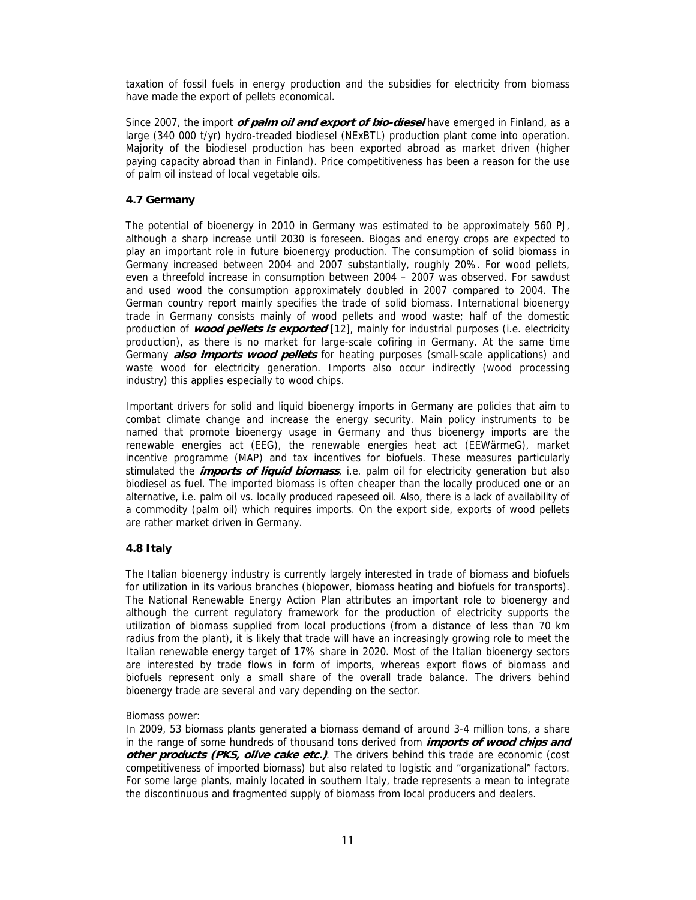taxation of fossil fuels in energy production and the subsidies for electricity from biomass have made the export of pellets economical.

Since 2007, the import **of palm oil and export of bio-diesel** have emerged in Finland, as a large (340 000 t/yr) hydro-treaded biodiesel (NExBTL) production plant come into operation. Majority of the biodiesel production has been exported abroad as market driven (higher paying capacity abroad than in Finland). Price competitiveness has been a reason for the use of palm oil instead of local vegetable oils.

## **4.7 Germany**

The potential of bioenergy in 2010 in Germany was estimated to be approximately 560 PJ, although a sharp increase until 2030 is foreseen. Biogas and energy crops are expected to play an important role in future bioenergy production. The consumption of solid biomass in Germany increased between 2004 and 2007 substantially, roughly 20%. For wood pellets, even a threefold increase in consumption between 2004 – 2007 was observed. For sawdust and used wood the consumption approximately doubled in 2007 compared to 2004. The German country report mainly specifies the trade of solid biomass. International bioenergy trade in Germany consists mainly of wood pellets and wood waste; half of the domestic production of **wood pellets is exported** [12], mainly for industrial purposes (i.e. electricity production), as there is no market for large-scale cofiring in Germany. At the same time Germany **also imports wood pellets** for heating purposes (small-scale applications) and waste wood for electricity generation. Imports also occur indirectly (wood processing industry) this applies especially to wood chips.

Important drivers for solid and liquid bioenergy imports in Germany are policies that aim to combat climate change and increase the energy security. Main policy instruments to be named that promote bioenergy usage in Germany and thus bioenergy imports are the renewable energies act (EEG), the renewable energies heat act (EEWärmeG), market incentive programme (MAP) and tax incentives for biofuels. These measures particularly stimulated the **imports of liquid biomass**, i.e. palm oil for electricity generation but also biodiesel as fuel. The imported biomass is often cheaper than the locally produced one or an alternative, i.e. palm oil vs. locally produced rapeseed oil. Also, there is a lack of availability of a commodity (palm oil) which requires imports. On the export side, exports of wood pellets are rather market driven in Germany.

## **4.8 Italy**

The Italian bioenergy industry is currently largely interested in trade of biomass and biofuels for utilization in its various branches (biopower, biomass heating and biofuels for transports). The National Renewable Energy Action Plan attributes an important role to bioenergy and although the current regulatory framework for the production of electricity supports the utilization of biomass supplied from local productions (from a distance of less than 70 km radius from the plant), it is likely that trade will have an increasingly growing role to meet the Italian renewable energy target of 17% share in 2020. Most of the Italian bioenergy sectors are interested by trade flows in form of imports, whereas export flows of biomass and biofuels represent only a small share of the overall trade balance. The drivers behind bioenergy trade are several and vary depending on the sector.

#### Biomass power:

In 2009, 53 biomass plants generated a biomass demand of around 3-4 million tons, a share in the range of some hundreds of thousand tons derived from **imports of wood chips and other products (PKS, olive cake etc.)**. The drivers behind this trade are economic (cost competitiveness of imported biomass) but also related to logistic and "organizational" factors. For some large plants, mainly located in southern Italy, trade represents a mean to integrate the discontinuous and fragmented supply of biomass from local producers and dealers.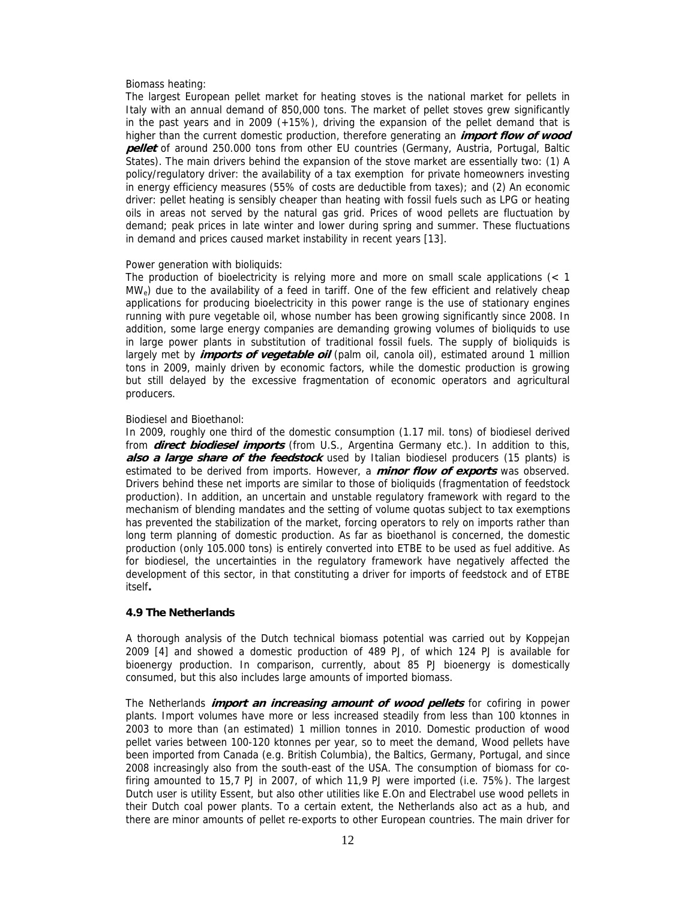#### Biomass heating:

The largest European pellet market for heating stoves is the national market for pellets in Italy with an annual demand of 850,000 tons. The market of pellet stoves grew significantly in the past years and in 2009 (+15%), driving the expansion of the pellet demand that is higher than the current domestic production, therefore generating an **import flow of wood pellet** of around 250.000 tons from other EU countries (Germany, Austria, Portugal, Baltic States). The main drivers behind the expansion of the stove market are essentially two: (1) A policy/regulatory driver: the availability of a tax exemption for private homeowners investing in energy efficiency measures (55% of costs are deductible from taxes); and (2) An economic driver: pellet heating is sensibly cheaper than heating with fossil fuels such as LPG or heating oils in areas not served by the natural gas grid. Prices of wood pellets are fluctuation by demand; peak prices in late winter and lower during spring and summer. These fluctuations in demand and prices caused market instability in recent years [13].

#### Power generation with bioliquids:

The production of bioelectricity is relying more and more on small scale applications (< 1  $MW<sub>e</sub>$ ) due to the availability of a feed in tariff. One of the few efficient and relatively cheap applications for producing bioelectricity in this power range is the use of stationary engines running with pure vegetable oil, whose number has been growing significantly since 2008. In addition, some large energy companies are demanding growing volumes of bioliquids to use in large power plants in substitution of traditional fossil fuels. The supply of bioliquids is largely met by **imports of vegetable oil** (palm oil, canola oil), estimated around 1 million tons in 2009, mainly driven by economic factors, while the domestic production is growing but still delayed by the excessive fragmentation of economic operators and agricultural producers.

#### Biodiesel and Bioethanol:

In 2009, roughly one third of the domestic consumption (1.17 mil. tons) of biodiesel derived from **direct biodiesel imports** (from U.S., Argentina Germany etc.). In addition to this, **also a large share of the feedstock** used by Italian biodiesel producers (15 plants) is estimated to be derived from imports. However, a **minor flow of exports** was observed. Drivers behind these net imports are similar to those of bioliquids (fragmentation of feedstock production). In addition, an uncertain and unstable regulatory framework with regard to the mechanism of blending mandates and the setting of volume quotas subject to tax exemptions has prevented the stabilization of the market, forcing operators to rely on imports rather than long term planning of domestic production. As far as bioethanol is concerned, the domestic production (only 105.000 tons) is entirely converted into ETBE to be used as fuel additive. As for biodiesel, the uncertainties in the regulatory framework have negatively affected the development of this sector, in that constituting a driver for imports of feedstock and of ETBE itself**.** 

#### **4.9 The Netherlands**

A thorough analysis of the Dutch technical biomass potential was carried out by Koppejan 2009 [4] and showed a domestic production of 489 PJ, of which 124 PJ is available for bioenergy production. In comparison, currently, about 85 PJ bioenergy is domestically consumed, but this also includes large amounts of imported biomass.

The Netherlands **import an increasing amount of wood pellets** for cofiring in power plants. Import volumes have more or less increased steadily from less than 100 ktonnes in 2003 to more than (an estimated) 1 million tonnes in 2010. Domestic production of wood pellet varies between 100-120 ktonnes per year, so to meet the demand, Wood pellets have been imported from Canada (e.g. British Columbia), the Baltics, Germany, Portugal, and since 2008 increasingly also from the south-east of the USA. The consumption of biomass for cofiring amounted to 15,7 PJ in 2007, of which 11,9 PJ were imported (i.e. 75%). The largest Dutch user is utility Essent, but also other utilities like E.On and Electrabel use wood pellets in their Dutch coal power plants. To a certain extent, the Netherlands also act as a hub, and there are minor amounts of pellet re-exports to other European countries. The main driver for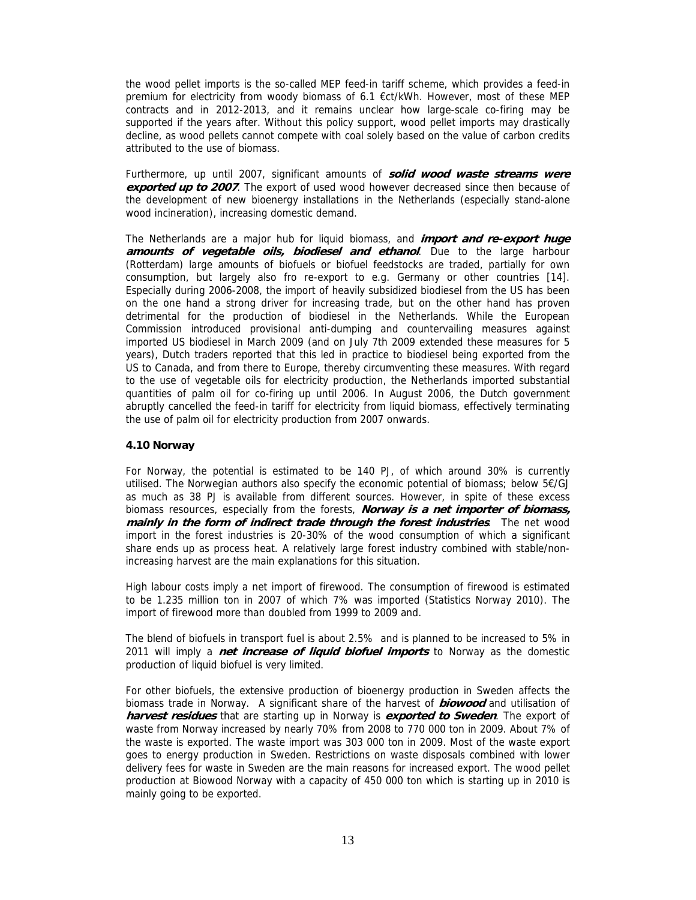the wood pellet imports is the so-called MEP feed-in tariff scheme, which provides a feed-in premium for electricity from woody biomass of 6.1 €ct/kWh. However, most of these MEP contracts and in 2012-2013, and it remains unclear how large-scale co-firing may be supported if the years after. Without this policy support, wood pellet imports may drastically decline, as wood pellets cannot compete with coal solely based on the value of carbon credits attributed to the use of biomass.

Furthermore, up until 2007, significant amounts of **solid wood waste streams were exported up to 2007**. The export of used wood however decreased since then because of the development of new bioenergy installations in the Netherlands (especially stand-alone wood incineration), increasing domestic demand.

The Netherlands are a major hub for liquid biomass, and **import and re-export huge amounts of vegetable oils, biodiesel and ethanol**. Due to the large harbour (Rotterdam) large amounts of biofuels or biofuel feedstocks are traded, partially for own consumption, but largely also fro re-export to e.g. Germany or other countries [14]. Especially during 2006-2008, the import of heavily subsidized biodiesel from the US has been on the one hand a strong driver for increasing trade, but on the other hand has proven detrimental for the production of biodiesel in the Netherlands. While the European Commission introduced provisional anti-dumping and countervailing measures against imported US biodiesel in March 2009 (and on July 7th 2009 extended these measures for 5 years), Dutch traders reported that this led in practice to biodiesel being exported from the US to Canada, and from there to Europe, thereby circumventing these measures. With regard to the use of vegetable oils for electricity production, the Netherlands imported substantial quantities of palm oil for co-firing up until 2006. In August 2006, the Dutch government abruptly cancelled the feed-in tariff for electricity from liquid biomass, effectively terminating the use of palm oil for electricity production from 2007 onwards.

## **4.10 Norway**

For Norway, the potential is estimated to be 140 PJ, of which around 30% is currently utilised. The Norwegian authors also specify the economic potential of biomass; below 5€/GJ as much as 38 PJ is available from different sources. However, in spite of these excess biomass resources, especially from the forests, **Norway is a net importer of biomass, mainly in the form of indirect trade through the forest industries**. The net wood import in the forest industries is 20-30% of the wood consumption of which a significant share ends up as process heat. A relatively large forest industry combined with stable/nonincreasing harvest are the main explanations for this situation.

High labour costs imply a net import of firewood. The consumption of firewood is estimated to be 1.235 million ton in 2007 of which 7% was imported (Statistics Norway 2010). The import of firewood more than doubled from 1999 to 2009 and.

The blend of biofuels in transport fuel is about 2.5% and is planned to be increased to 5% in 2011 will imply a **net increase of liquid biofuel imports** to Norway as the domestic production of liquid biofuel is very limited.

For other biofuels, the extensive production of bioenergy production in Sweden affects the biomass trade in Norway. A significant share of the harvest of **biowood** and utilisation of **harvest residues** that are starting up in Norway is **exported to Sweden**. The export of waste from Norway increased by nearly 70% from 2008 to 770 000 ton in 2009. About 7% of the waste is exported. The waste import was 303 000 ton in 2009. Most of the waste export goes to energy production in Sweden. Restrictions on waste disposals combined with lower delivery fees for waste in Sweden are the main reasons for increased export. The wood pellet production at Biowood Norway with a capacity of 450 000 ton which is starting up in 2010 is mainly going to be exported.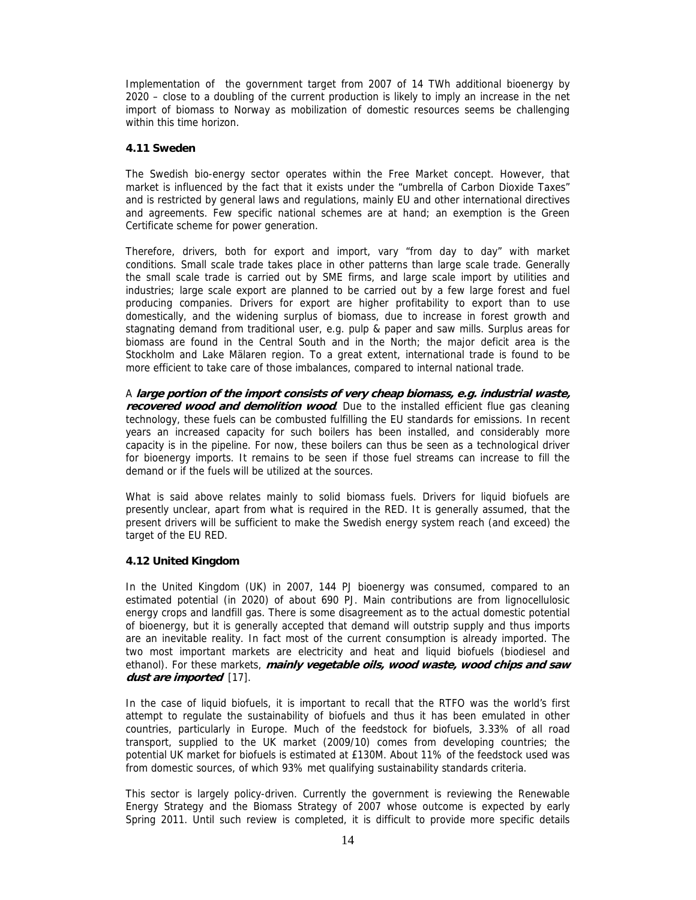Implementation of the government target from 2007 of 14 TWh additional bioenergy by 2020 – close to a doubling of the current production is likely to imply an increase in the net import of biomass to Norway as mobilization of domestic resources seems be challenging within this time horizon.

#### **4.11 Sweden**

The Swedish bio-energy sector operates within the Free Market concept. However, that market is influenced by the fact that it exists under the "umbrella of Carbon Dioxide Taxes" and is restricted by general laws and regulations, mainly EU and other international directives and agreements. Few specific national schemes are at hand; an exemption is the Green Certificate scheme for power generation.

Therefore, drivers, both for export and import, vary "from day to day" with market conditions. Small scale trade takes place in other patterns than large scale trade. Generally the small scale trade is carried out by SME firms, and large scale import by utilities and industries; large scale export are planned to be carried out by a few large forest and fuel producing companies. Drivers for export are higher profitability to export than to use domestically, and the widening surplus of biomass, due to increase in forest growth and stagnating demand from traditional user, e.g. pulp & paper and saw mills. Surplus areas for biomass are found in the Central South and in the North; the major deficit area is the Stockholm and Lake Mälaren region. To a great extent, international trade is found to be more efficient to take care of those imbalances, compared to internal national trade.

A **large portion of the import consists of very cheap biomass, e.g. industrial waste, recovered wood and demolition wood**. Due to the installed efficient flue gas cleaning technology, these fuels can be combusted fulfilling the EU standards for emissions. In recent years an increased capacity for such boilers has been installed, and considerably more capacity is in the pipeline. For now, these boilers can thus be seen as a technological driver for bioenergy imports. It remains to be seen if those fuel streams can increase to fill the demand or if the fuels will be utilized at the sources.

What is said above relates mainly to solid biomass fuels. Drivers for liquid biofuels are presently unclear, apart from what is required in the RED. It is generally assumed, that the present drivers will be sufficient to make the Swedish energy system reach (and exceed) the target of the EU RED.

## **4.12 United Kingdom**

In the United Kingdom (UK) in 2007, 144 PJ bioenergy was consumed, compared to an estimated potential (in 2020) of about 690 PJ. Main contributions are from lignocellulosic energy crops and landfill gas. There is some disagreement as to the actual domestic potential of bioenergy, but it is generally accepted that demand will outstrip supply and thus imports are an inevitable reality. In fact most of the current consumption is already imported. The two most important markets are electricity and heat and liquid biofuels (biodiesel and ethanol). For these markets, **mainly vegetable oils, wood waste, wood chips and saw dust are imported** [17].

In the case of liquid biofuels, it is important to recall that the RTFO was the world's first attempt to regulate the sustainability of biofuels and thus it has been emulated in other countries, particularly in Europe. Much of the feedstock for biofuels, 3.33% of all road transport, supplied to the UK market (2009/10) comes from developing countries; the potential UK market for biofuels is estimated at £130M. About 11% of the feedstock used was from domestic sources, of which 93% met qualifying sustainability standards criteria.

This sector is largely policy-driven. Currently the government is reviewing the Renewable Energy Strategy and the Biomass Strategy of 2007 whose outcome is expected by early Spring 2011. Until such review is completed, it is difficult to provide more specific details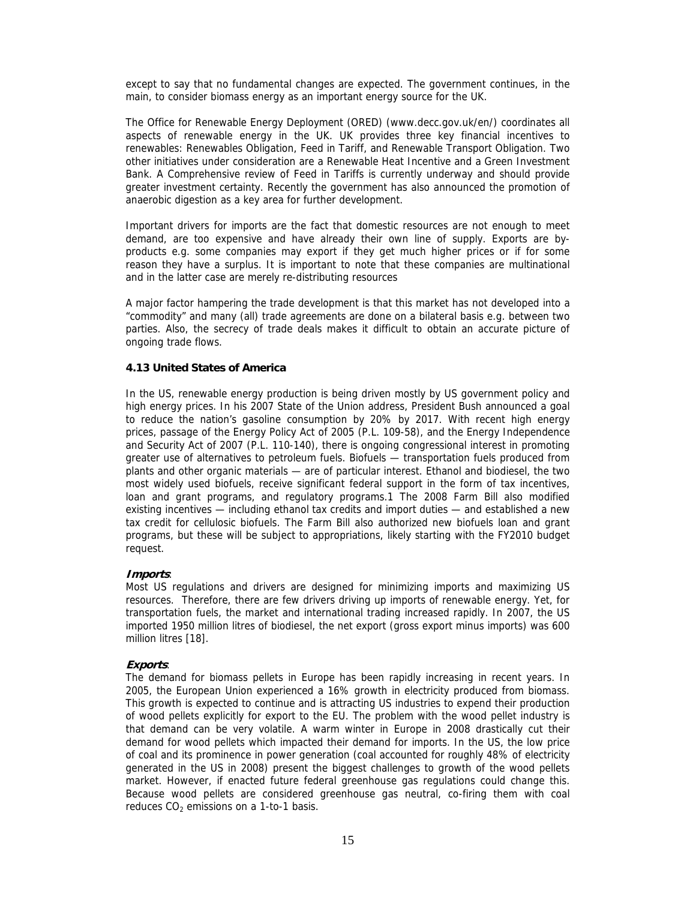except to say that no fundamental changes are expected. The government continues, in the main, to consider biomass energy as an important energy source for the UK.

The Office for Renewable Energy Deployment (ORED) (www.decc.gov.uk/en/) coordinates all aspects of renewable energy in the UK. UK provides three key financial incentives to renewables: Renewables Obligation, Feed in Tariff, and Renewable Transport Obligation. Two other initiatives under consideration are a Renewable Heat Incentive and a Green Investment Bank. A Comprehensive review of Feed in Tariffs is currently underway and should provide greater investment certainty. Recently the government has also announced the promotion of anaerobic digestion as a key area for further development.

Important drivers for imports are the fact that domestic resources are not enough to meet demand, are too expensive and have already their own line of supply. Exports are byproducts e.g. some companies may export if they get much higher prices or if for some reason they have a surplus. It is important to note that these companies are multinational and in the latter case are merely re-distributing resources

A major factor hampering the trade development is that this market has not developed into a "commodity" and many (all) trade agreements are done on a bilateral basis e.g. between two parties. Also, the secrecy of trade deals makes it difficult to obtain an accurate picture of ongoing trade flows.

## **4.13 United States of America**

In the US, renewable energy production is being driven mostly by US government policy and high energy prices. In his 2007 State of the Union address, President Bush announced a goal to reduce the nation's gasoline consumption by 20% by 2017. With recent high energy prices, passage of the Energy Policy Act of 2005 (P.L. 109-58), and the Energy Independence and Security Act of 2007 (P.L. 110-140), there is ongoing congressional interest in promoting greater use of alternatives to petroleum fuels. Biofuels — transportation fuels produced from plants and other organic materials — are of particular interest. Ethanol and biodiesel, the two most widely used biofuels, receive significant federal support in the form of tax incentives, loan and grant programs, and regulatory programs.1 The 2008 Farm Bill also modified existing incentives — including ethanol tax credits and import duties — and established a new tax credit for cellulosic biofuels. The Farm Bill also authorized new biofuels loan and grant programs, but these will be subject to appropriations, likely starting with the FY2010 budget request.

#### **Imports**:

Most US regulations and drivers are designed for minimizing imports and maximizing US resources. Therefore, there are few drivers driving up imports of renewable energy. Yet, for transportation fuels, the market and international trading increased rapidly. In 2007, the US imported 1950 million litres of biodiesel, the net export (gross export minus imports) was 600 million litres [18].

## **Exports**:

The demand for biomass pellets in Europe has been rapidly increasing in recent years. In 2005, the European Union experienced a 16% growth in electricity produced from biomass. This growth is expected to continue and is attracting US industries to expend their production of wood pellets explicitly for export to the EU. The problem with the wood pellet industry is that demand can be very volatile. A warm winter in Europe in 2008 drastically cut their demand for wood pellets which impacted their demand for imports. In the US, the low price of coal and its prominence in power generation (coal accounted for roughly 48% of electricity generated in the US in 2008) present the biggest challenges to growth of the wood pellets market. However, if enacted future federal greenhouse gas regulations could change this. Because wood pellets are considered greenhouse gas neutral, co-firing them with coal reduces  $CO<sub>2</sub>$  emissions on a 1-to-1 basis.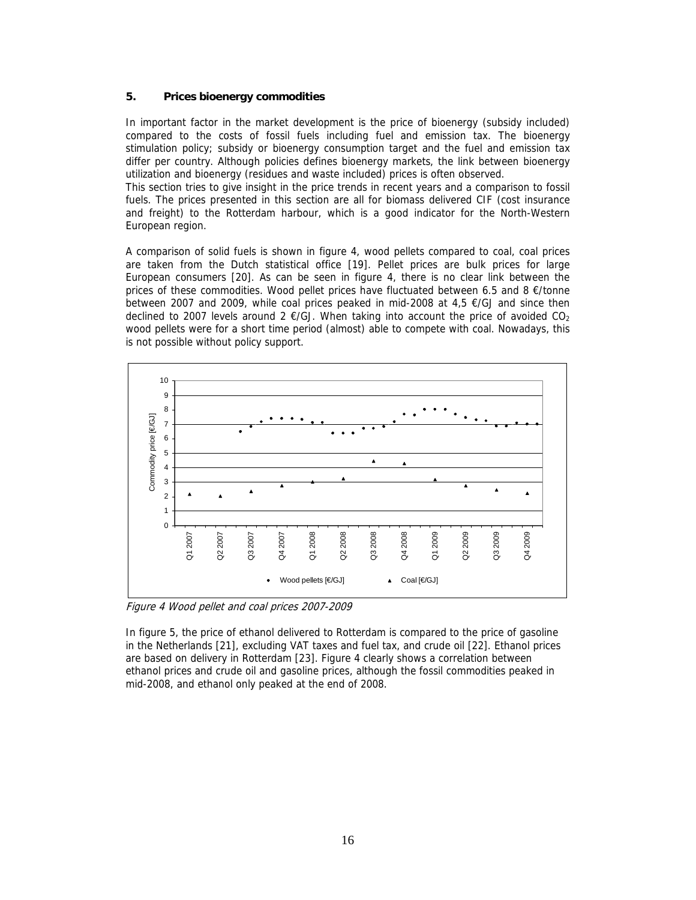## **5. Prices bioenergy commodities**

In important factor in the market development is the price of bioenergy (subsidy included) compared to the costs of fossil fuels including fuel and emission tax. The bioenergy stimulation policy; subsidy or bioenergy consumption target and the fuel and emission tax differ per country. Although policies defines bioenergy markets, the link between bioenergy utilization and bioenergy (residues and waste included) prices is often observed.

This section tries to give insight in the price trends in recent years and a comparison to fossil fuels. The prices presented in this section are all for biomass delivered CIF (cost insurance and freight) to the Rotterdam harbour, which is a good indicator for the North-Western European region.

A comparison of solid fuels is shown in figure 4, wood pellets compared to coal, coal prices are taken from the Dutch statistical office [19]. Pellet prices are bulk prices for large European consumers [20]. As can be seen in figure 4, there is no clear link between the prices of these commodities. Wood pellet prices have fluctuated between 6.5 and 8  $\epsilon$ /tonne between 2007 and 2009, while coal prices peaked in mid-2008 at 4,5 €/GJ and since then declined to 2007 levels around 2  $E/GJ$ . When taking into account the price of avoided CO<sub>2</sub> wood pellets were for a short time period (almost) able to compete with coal. Nowadays, this is not possible without policy support.



Figure 4 Wood pellet and coal prices 2007-2009

In figure 5, the price of ethanol delivered to Rotterdam is compared to the price of gasoline in the Netherlands [21], excluding VAT taxes and fuel tax, and crude oil [22]. Ethanol prices are based on delivery in Rotterdam [23]. Figure 4 clearly shows a correlation between ethanol prices and crude oil and gasoline prices, although the fossil commodities peaked in mid-2008, and ethanol only peaked at the end of 2008.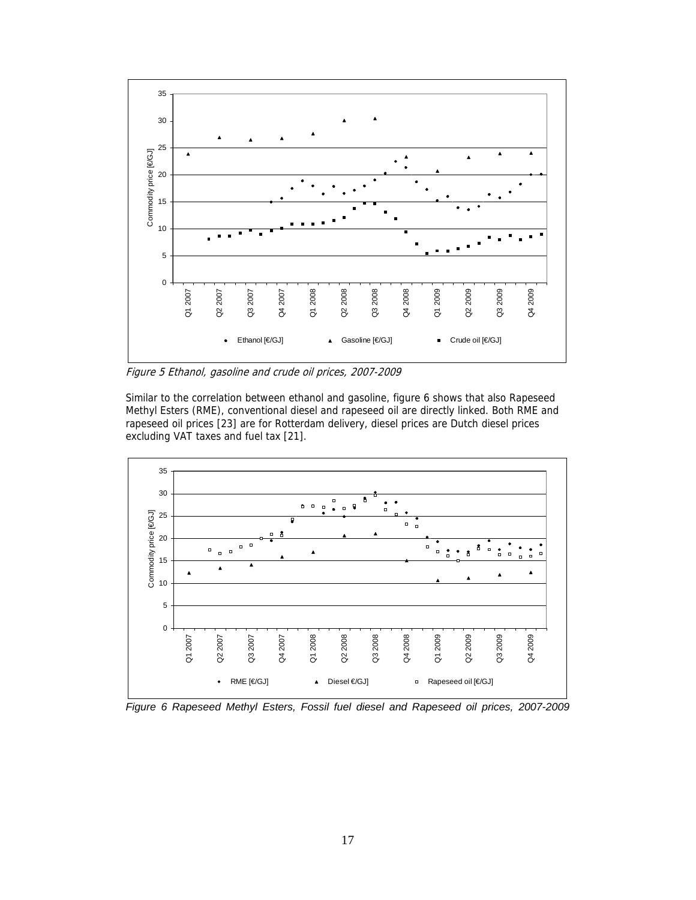

Figure 5 Ethanol, gasoline and crude oil prices, 2007-2009

Similar to the correlation between ethanol and gasoline, figure 6 shows that also Rapeseed Methyl Esters (RME), conventional diesel and rapeseed oil are directly linked. Both RME and rapeseed oil prices [23] are for Rotterdam delivery, diesel prices are Dutch diesel prices excluding VAT taxes and fuel tax [21].



*Figure 6 Rapeseed Methyl Esters, Fossil fuel diesel and Rapeseed oil prices, 2007-2009*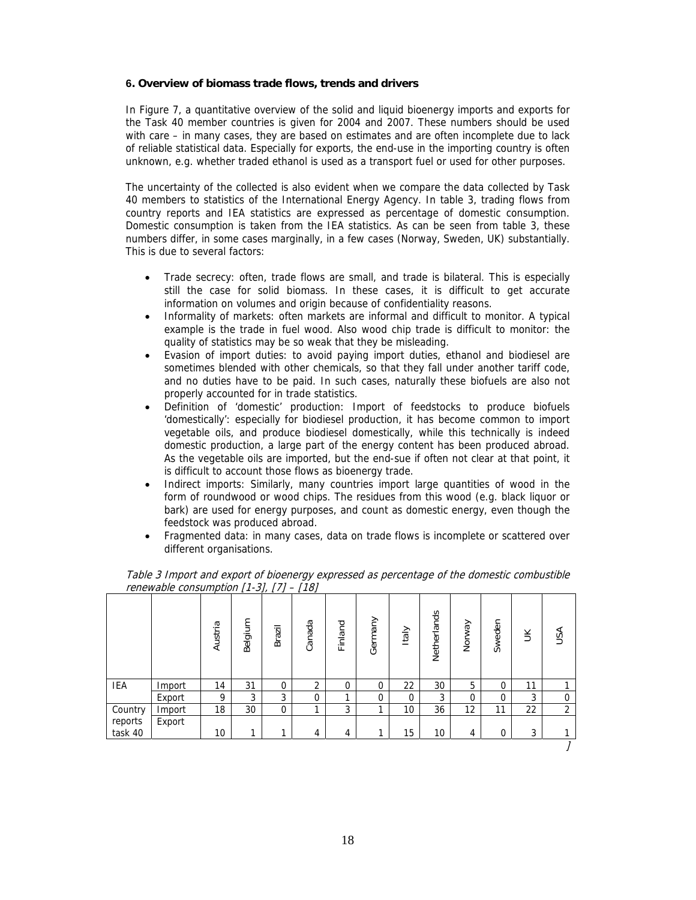#### **6. Overview of biomass trade flows, trends and drivers**

In Figure 7, a quantitative overview of the solid and liquid bioenergy imports and exports for the Task 40 member countries is given for 2004 and 2007. These numbers should be used with care – in many cases, they are based on estimates and are often incomplete due to lack of reliable statistical data. Especially for exports, the end-use in the importing country is often unknown, e.g. whether traded ethanol is used as a transport fuel or used for other purposes.

The uncertainty of the collected is also evident when we compare the data collected by Task 40 members to statistics of the International Energy Agency. In table 3, trading flows from country reports and IEA statistics are expressed as percentage of domestic consumption. Domestic consumption is taken from the IEA statistics. As can be seen from table 3, these numbers differ, in some cases marginally, in a few cases (Norway, Sweden, UK) substantially. This is due to several factors:

- Trade secrecy: often, trade flows are small, and trade is bilateral. This is especially still the case for solid biomass. In these cases, it is difficult to get accurate information on volumes and origin because of confidentiality reasons.
- Informality of markets: often markets are informal and difficult to monitor. A typical example is the trade in fuel wood. Also wood chip trade is difficult to monitor: the quality of statistics may be so weak that they be misleading.
- Evasion of import duties: to avoid paying import duties, ethanol and biodiesel are sometimes blended with other chemicals, so that they fall under another tariff code, and no duties have to be paid. In such cases, naturally these biofuels are also not properly accounted for in trade statistics.
- Definition of 'domestic' production: Import of feedstocks to produce biofuels 'domestically': especially for biodiesel production, it has become common to import vegetable oils, and produce biodiesel domestically, while this technically is indeed domestic production, a large part of the energy content has been produced abroad. As the vegetable oils are imported, but the end-sue if often not clear at that point, it is difficult to account those flows as bioenergy trade.
- Indirect imports: Similarly, many countries import large quantities of wood in the form of roundwood or wood chips. The residues from this wood (e.g. black liquor or bark) are used for energy purposes, and count as domestic energy, even though the feedstock was produced abroad.
- Fragmented data: in many cases, data on trade flows is incomplete or scattered over different organisations.

|                    |        | Austria | Belgium | Brazil      | Canada         | Finland | Germany     | Italy | Netherlands | Norway   | Sweden      | $\leq$ | USA            |
|--------------------|--------|---------|---------|-------------|----------------|---------|-------------|-------|-------------|----------|-------------|--------|----------------|
| IEA                | Import | 14      | 31      | $\mathbf 0$ | $\overline{2}$ | 0       | $\mathbf 0$ | 22    | 30          | 5        | 0           | 11     |                |
|                    | Export | 9       | 3       | 3           | 0              | 1       | $\mathbf 0$ | 0     | 3           | $\Omega$ | $\mathbf 0$ | 3      | 0              |
| Country<br>reports | Import | 18      | 30      | $\mathbf 0$ | ◂              | 3       |             | 10    | 36          | 12       | 11          | 22     | $\overline{2}$ |
|                    | Export |         |         |             |                |         |             |       |             |          |             |        |                |
| task 40            |        | 10      | ◀       |             | 4              | 4       |             | 15    | 10          | 4        | 0           | 3      |                |
|                    |        |         |         |             |                |         |             |       |             |          |             |        |                |

Table 3 Import and export of bioenergy expressed as percentage of the domestic combustible renewable consumption  $[1-3]$ ,  $[7]$  –  $[18]$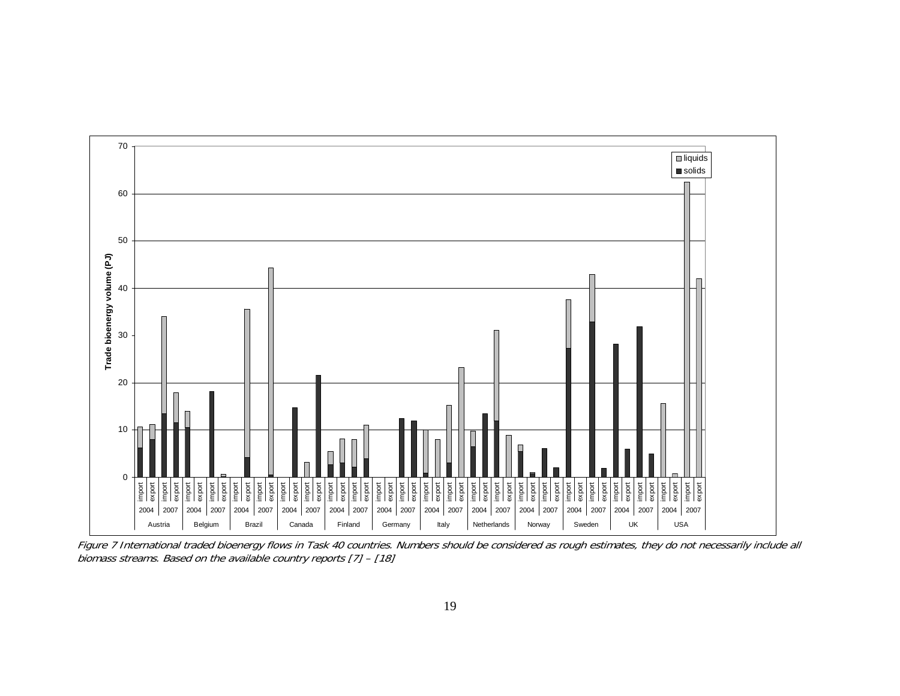

Figure 7 International traded bioenergy flows in Task 40 countries. Numbers should be considered as rough estimates, they do not necessarily include all biomass streams. Based on the available country reports [7] – [18]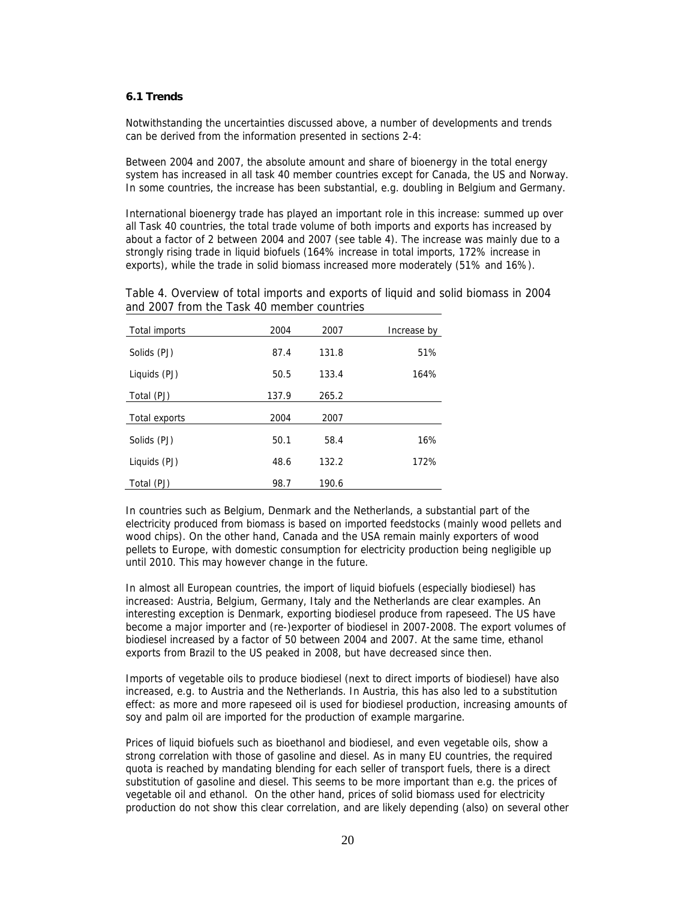## **6.1 Trends**

Notwithstanding the uncertainties discussed above, a number of developments and trends can be derived from the information presented in sections 2-4:

Between 2004 and 2007, the absolute amount and share of bioenergy in the total energy system has increased in all task 40 member countries except for Canada, the US and Norway. In some countries, the increase has been substantial, e.g. doubling in Belgium and Germany.

International bioenergy trade has played an important role in this increase: summed up over all Task 40 countries, the total trade volume of both imports and exports has increased by about a factor of 2 between 2004 and 2007 (see table 4). The increase was mainly due to a strongly rising trade in liquid biofuels (164% increase in total imports, 172% increase in exports), while the trade in solid biomass increased more moderately (51% and 16%).

Table 4. Overview of total imports and exports of liquid and solid biomass in 2004 and 2007 from the Task 40 member countries

| Total imports | 2004  | 2007  | Increase by |
|---------------|-------|-------|-------------|
| Solids (PJ)   | 87.4  | 131.8 | 51%         |
| Liquids (PJ)  | 50.5  | 133.4 | 164%        |
| Total (PJ)    | 137.9 | 265.2 |             |
| Total exports | 2004  | 2007  |             |
| Solids (PJ)   | 50.1  | 58.4  | 16%         |
| Liquids (PJ)  | 48.6  | 132.2 | 172%        |
| Total (PJ)    | 98.7  | 190.6 |             |

In countries such as Belgium, Denmark and the Netherlands, a substantial part of the electricity produced from biomass is based on imported feedstocks (mainly wood pellets and wood chips). On the other hand, Canada and the USA remain mainly exporters of wood pellets to Europe, with domestic consumption for electricity production being negligible up until 2010. This may however change in the future.

In almost all European countries, the import of liquid biofuels (especially biodiesel) has increased: Austria, Belgium, Germany, Italy and the Netherlands are clear examples. An interesting exception is Denmark, exporting biodiesel produce from rapeseed. The US have become a major importer and (re-)exporter of biodiesel in 2007-2008. The export volumes of biodiesel increased by a factor of 50 between 2004 and 2007. At the same time, ethanol exports from Brazil to the US peaked in 2008, but have decreased since then.

Imports of vegetable oils to produce biodiesel (next to direct imports of biodiesel) have also increased, e.g. to Austria and the Netherlands. In Austria, this has also led to a substitution effect: as more and more rapeseed oil is used for biodiesel production, increasing amounts of soy and palm oil are imported for the production of example margarine.

Prices of liquid biofuels such as bioethanol and biodiesel, and even vegetable oils, show a strong correlation with those of gasoline and diesel. As in many EU countries, the required quota is reached by mandating blending for each seller of transport fuels, there is a direct substitution of gasoline and diesel. This seems to be more important than e.g. the prices of vegetable oil and ethanol. On the other hand, prices of solid biomass used for electricity production do not show this clear correlation, and are likely depending (also) on several other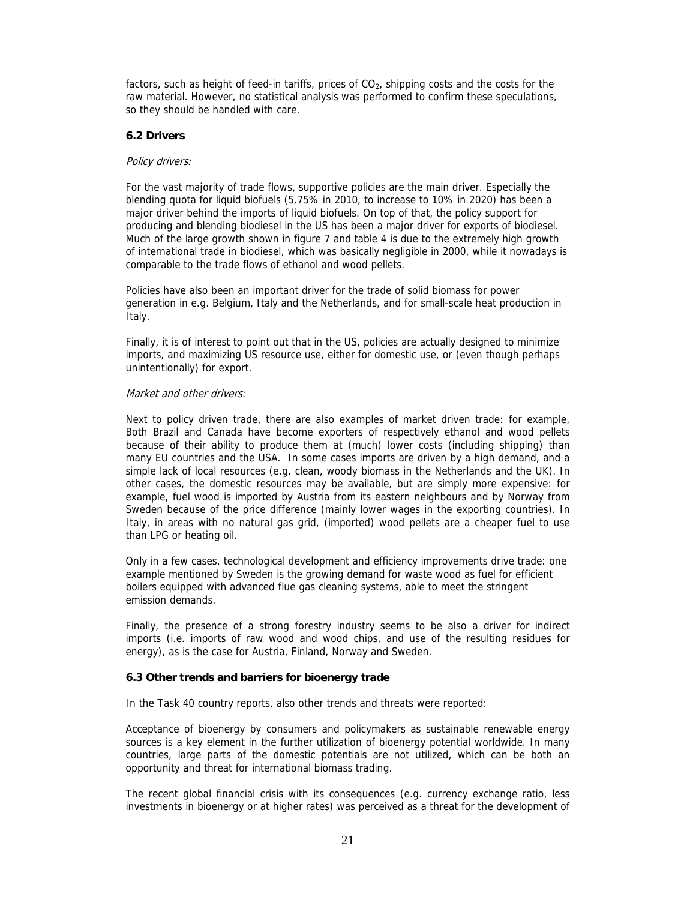factors, such as height of feed-in tariffs, prices of  $CO<sub>2</sub>$ , shipping costs and the costs for the raw material. However, no statistical analysis was performed to confirm these speculations, so they should be handled with care.

#### **6.2 Drivers**

#### Policy drivers:

For the vast majority of trade flows, supportive policies are the main driver. Especially the blending quota for liquid biofuels (5.75% in 2010, to increase to 10% in 2020) has been a major driver behind the imports of liquid biofuels. On top of that, the policy support for producing and blending biodiesel in the US has been a major driver for exports of biodiesel. Much of the large growth shown in figure 7 and table 4 is due to the extremely high growth of international trade in biodiesel, which was basically negligible in 2000, while it nowadays is comparable to the trade flows of ethanol and wood pellets.

Policies have also been an important driver for the trade of solid biomass for power generation in e.g. Belgium, Italy and the Netherlands, and for small-scale heat production in Italy.

Finally, it is of interest to point out that in the US, policies are actually designed to minimize imports, and maximizing US resource use, either for domestic use, or (even though perhaps unintentionally) for export.

#### Market and other drivers:

Next to policy driven trade, there are also examples of market driven trade: for example, Both Brazil and Canada have become exporters of respectively ethanol and wood pellets because of their ability to produce them at (much) lower costs (including shipping) than many EU countries and the USA. In some cases imports are driven by a high demand, and a simple lack of local resources (e.g. clean, woody biomass in the Netherlands and the UK). In other cases, the domestic resources may be available, but are simply more expensive: for example, fuel wood is imported by Austria from its eastern neighbours and by Norway from Sweden because of the price difference (mainly lower wages in the exporting countries). In Italy, in areas with no natural gas grid, (imported) wood pellets are a cheaper fuel to use than LPG or heating oil.

Only in a few cases, technological development and efficiency improvements drive trade: one example mentioned by Sweden is the growing demand for waste wood as fuel for efficient boilers equipped with advanced flue gas cleaning systems, able to meet the stringent emission demands.

Finally, the presence of a strong forestry industry seems to be also a driver for indirect imports (i.e. imports of raw wood and wood chips, and use of the resulting residues for energy), as is the case for Austria, Finland, Norway and Sweden.

#### **6.3 Other trends and barriers for bioenergy trade**

In the Task 40 country reports, also other trends and threats were reported:

Acceptance of bioenergy by consumers and policymakers as sustainable renewable energy sources is a key element in the further utilization of bioenergy potential worldwide. In many countries, large parts of the domestic potentials are not utilized, which can be both an opportunity and threat for international biomass trading.

The recent global financial crisis with its consequences (e.g. currency exchange ratio, less investments in bioenergy or at higher rates) was perceived as a threat for the development of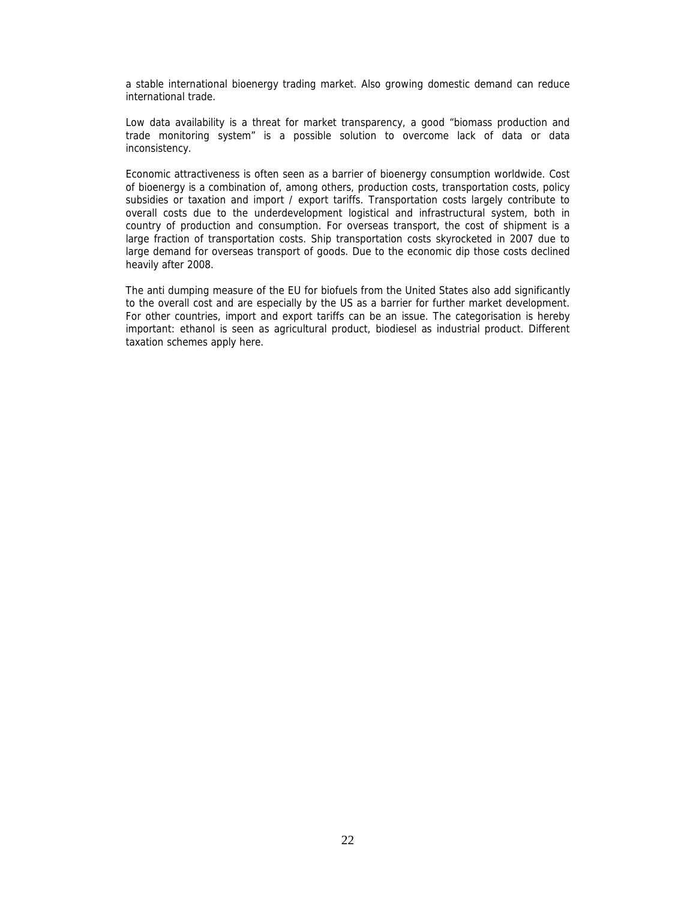a stable international bioenergy trading market. Also growing domestic demand can reduce international trade.

Low data availability is a threat for market transparency, a good "biomass production and trade monitoring system" is a possible solution to overcome lack of data or data inconsistency.

Economic attractiveness is often seen as a barrier of bioenergy consumption worldwide. Cost of bioenergy is a combination of, among others, production costs, transportation costs, policy subsidies or taxation and import / export tariffs. Transportation costs largely contribute to overall costs due to the underdevelopment logistical and infrastructural system, both in country of production and consumption. For overseas transport, the cost of shipment is a large fraction of transportation costs. Ship transportation costs skyrocketed in 2007 due to large demand for overseas transport of goods. Due to the economic dip those costs declined heavily after 2008.

The anti dumping measure of the EU for biofuels from the United States also add significantly to the overall cost and are especially by the US as a barrier for further market development. For other countries, import and export tariffs can be an issue. The categorisation is hereby important: ethanol is seen as agricultural product, biodiesel as industrial product. Different taxation schemes apply here.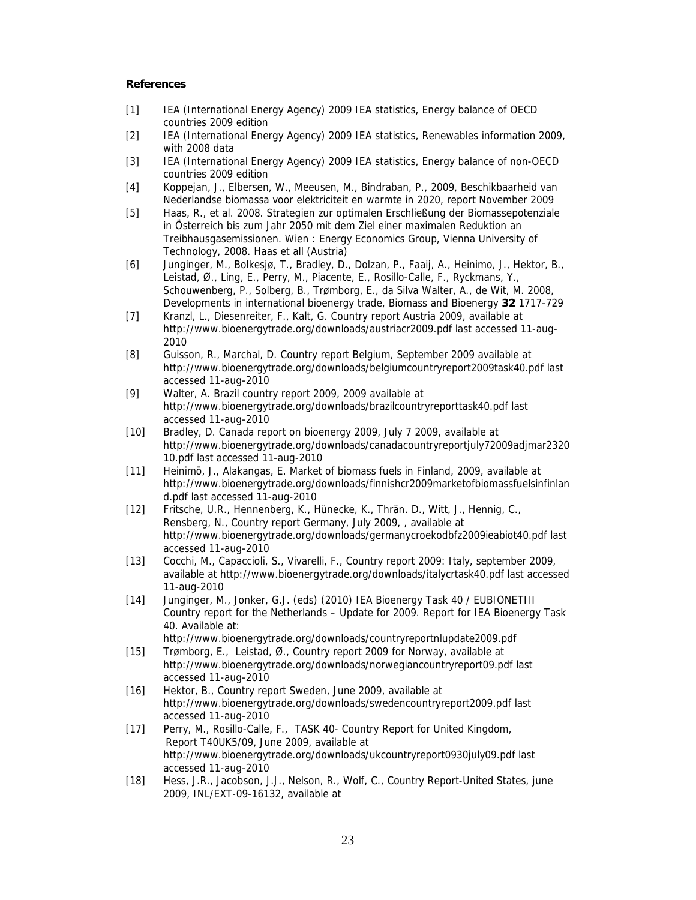#### **References**

- [1] IEA (International Energy Agency) 2009 IEA statistics, Energy balance of OECD countries 2009 edition
- [2] IEA (International Energy Agency) 2009 IEA statistics, Renewables information 2009, with 2008 data
- [3] IEA (International Energy Agency) 2009 IEA statistics, Energy balance of non-OECD countries 2009 edition
- [4] Koppejan, J., Elbersen, W., Meeusen, M., Bindraban, P., 2009, Beschikbaarheid van Nederlandse biomassa voor elektriciteit en warmte in 2020, report November 2009
- [5] Haas, R., et al. 2008. Strategien zur optimalen Erschließung der Biomassepotenziale in Österreich bis zum Jahr 2050 mit dem Ziel einer maximalen Reduktion an Treibhausgasemissionen. Wien : Energy Economics Group, Vienna University of Technology, 2008. Haas et all (Austria)
- [6] Junginger, M., Bolkesjø, T., Bradley, D., Dolzan, P., Faaij, A., Heinimo, J., Hektor, B., Leistad, Ø., Ling, E., Perry, M., Piacente, E., Rosillo-Calle, F., Ryckmans, Y., Schouwenberg, P., Solberg, B., Trømborg, E., da Silva Walter, A., de Wit, M. 2008, Developments in international bioenergy trade, Biomass and Bioenergy **32** 1717-729
- [7] Kranzl, L., Diesenreiter, F., Kalt, G. Country report Austria 2009, available at http://www.bioenergytrade.org/downloads/austriacr2009.pdf last accessed 11-aug-2010
- [8] Guisson, R., Marchal, D. Country report Belgium, September 2009 available at http://www.bioenergytrade.org/downloads/belgiumcountryreport2009task40.pdf last accessed 11-aug-2010
- [9] Walter, A. Brazil country report 2009, 2009 available at http://www.bioenergytrade.org/downloads/brazilcountryreporttask40.pdf last accessed 11-aug-2010
- [10] Bradley, D. Canada report on bioenergy 2009, July 7 2009, available at http://www.bioenergytrade.org/downloads/canadacountryreportjuly72009adjmar2320 10.pdf last accessed 11-aug-2010
- [11] Heinimö, J., Alakangas, E. Market of biomass fuels in Finland, 2009, available at http://www.bioenergytrade.org/downloads/finnishcr2009marketofbiomassfuelsinfinlan d.pdf last accessed 11-aug-2010
- [12] Fritsche, U.R., Hennenberg, K., Hünecke, K., Thrän. D., Witt, J., Hennig, C., Rensberg, N., Country report Germany, July 2009, , available at http://www.bioenergytrade.org/downloads/germanycroekodbfz2009ieabiot40.pdf last accessed 11-aug-2010
- [13] Cocchi, M., Capaccioli, S., Vivarelli, F., Country report 2009: Italy, september 2009, available at http://www.bioenergytrade.org/downloads/italycrtask40.pdf last accessed 11-aug-2010
- [14] Junginger, M., Jonker, G.J. (eds) (2010) IEA Bioenergy Task 40 / EUBIONETIII Country report for the Netherlands – Update for 2009. Report for IEA Bioenergy Task 40. Available at:
- http://www.bioenergytrade.org/downloads/countryreportnlupdate2009.pdf [15] Trømborg, E., Leistad, Ø., Country report 2009 for Norway, available at http://www.bioenergytrade.org/downloads/norwegiancountryreport09.pdf last accessed 11-aug-2010
- [16] Hektor, B., Country report Sweden, June 2009, available at http://www.bioenergytrade.org/downloads/swedencountryreport2009.pdf last accessed 11-aug-2010
- [17] Perry, M., Rosillo-Calle, F., TASK 40- Country Report for United Kingdom, Report T40UK5/09, June 2009, available at http://www.bioenergytrade.org/downloads/ukcountryreport0930july09.pdf last accessed 11-aug-2010
- [18] Hess, J.R., Jacobson, J.J., Nelson, R., Wolf, C., Country Report-United States, june 2009, INL/EXT-09-16132, available at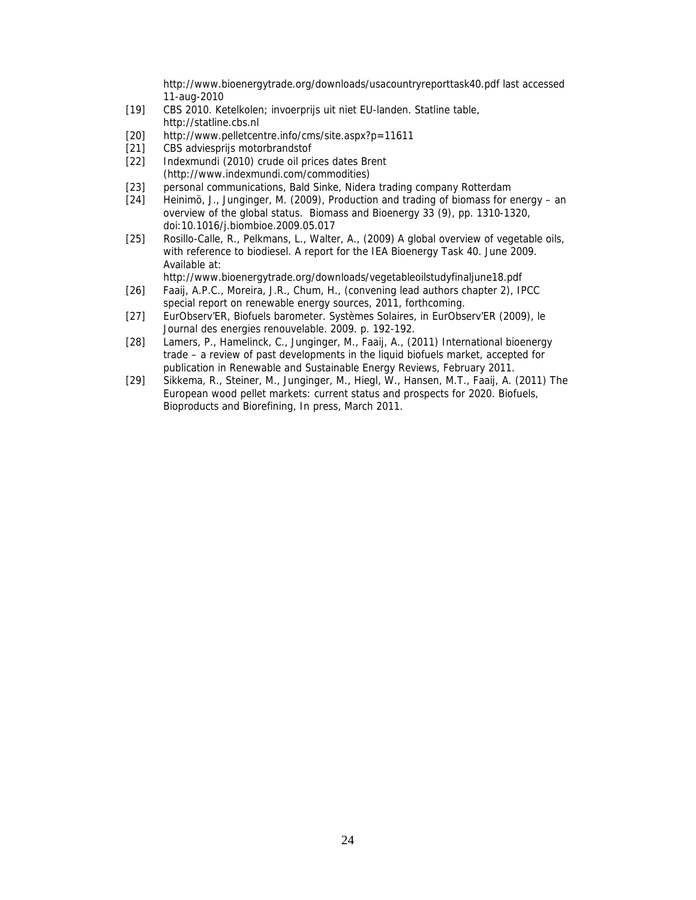http://www.bioenergytrade.org/downloads/usacountryreporttask40.pdf last accessed 11-aug-2010

- [19] CBS 2010. Ketelkolen; invoerprijs uit niet EU-landen. Statline table, http://statline.cbs.nl
- [20] http://www.pelletcentre.info/cms/site.aspx?p=11611
- [21] CBS adviesprijs motorbrandstof
- [22] Indexmundi (2010) crude oil prices dates Brent (http://www.indexmundi.com/commodities)
- [23] personal communications, Bald Sinke, Nidera trading company Rotterdam
- [24] Heinimö, J., Junginger, M. (2009), Production and trading of biomass for energy an overview of the global status. Biomass and Bioenergy 33 (9), pp. 1310-1320, doi:10.1016/j.biombioe.2009.05.017
- [25] Rosillo-Calle, R., Pelkmans, L., Walter, A., (2009) A global overview of vegetable oils, with reference to biodiesel. A report for the IEA Bioenergy Task 40. June 2009. Available at:

http://www.bioenergytrade.org/downloads/vegetableoilstudyfinaljune18.pdf

- [26] Faaij, A.P.C., Moreira, J.R., Chum, H., (convening lead authors chapter 2), IPCC special report on renewable energy sources, 2011, forthcoming.
- [27] EurObserv'ER, Biofuels barometer. Systèmes Solaires, in EurObserv'ER (2009), le Journal des energies renouvelable. 2009. p. 192-192.
- [28] Lamers, P., Hamelinck, C., Junginger, M., Faaij, A., (2011) International bioenergy trade – a review of past developments in the liquid biofuels market, accepted for publication in Renewable and Sustainable Energy Reviews, February 2011.
- [29] Sikkema, R., Steiner, M., Junginger, M., Hiegl, W., Hansen, M.T., Faaij, A. (2011) The European wood pellet markets: current status and prospects for 2020. Biofuels, Bioproducts and Biorefining, In press, March 2011.